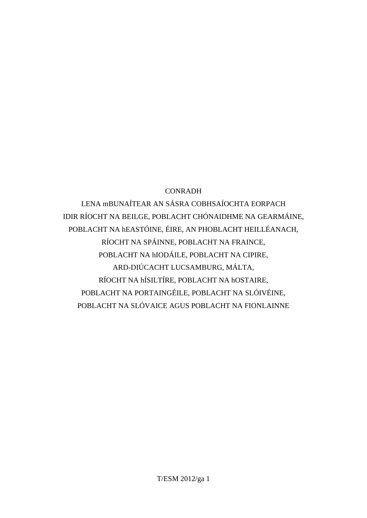## CONRADH

LENA mBUNAÍTEAR AN SÁSRA COBHSAÍOCHTA EORPACH IDIR RÍOCHT NA BEILGE, POBLACHT CHÓNAIDHME NA GEARMÁINE, POBLACHT NA hEASTÓINE, ÉIRE, AN PHOBLACHT HEILLÉANACH, RÍOCHT NA SPÁINNE, POBLACHT NA FRAINCE, POBLACHT NA hIODÁILE, POBLACHT NA CIPIRE, ARD-DIÚCACHT LUCSAMBURG, MÁLTA, RÍOCHT NA hÍSILTÍRE, POBLACHT NA hOSTAIRE, POBLACHT NA PORTAINGÉILE, POBLACHT NA SLÓIVÉINE, POBLACHT NA SLÓVAICE AGUS POBLACHT NA FIONLAINNE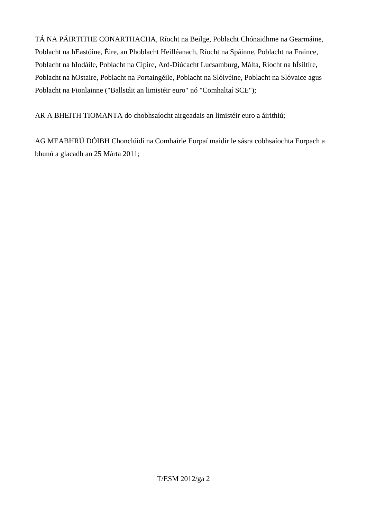TÁ NA PÁIRTITHE CONARTHACHA, Ríocht na Beilge, Poblacht Chónaidhme na Gearmáine, Poblacht na hEastóine, Éire, an Phoblacht Heilléanach, Ríocht na Spáinne, Poblacht na Fraince, Poblacht na hIodáile, Poblacht na Cipire, Ard-Diúcacht Lucsamburg, Málta, Ríocht na hÍsiltíre, Poblacht na hOstaire, Poblacht na Portaingéile, Poblacht na Slóivéine, Poblacht na Slóvaice agus Poblacht na Fionlainne ("Ballstáit an limistéir euro" nó "Comhaltaí SCE");

AR A BHEITH TIOMANTA do chobhsaíocht airgeadais an limistéir euro a áirithiú;

AG MEABHRÚ DÓIBH Chonclúidí na Comhairle Eorpaí maidir le sásra cobhsaíochta Eorpach a bhunú a glacadh an 25 Márta 2011;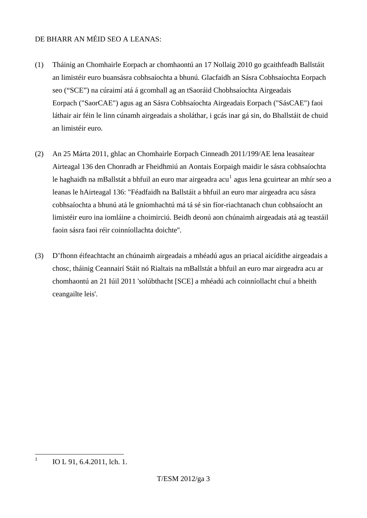#### DE BHARR AN MÉID SEO A LEANAS:

- (1) Tháinig an Chomhairle Eorpach ar chomhaontú an 17 Nollaig 2010 go gcaithfeadh Ballstáit an limistéir euro buansásra cobhsaíochta a bhunú. Glacfaidh an Sásra Cobhsaíochta Eorpach seo ("SCE") na cúraimí atá á gcomhall ag an tSaoráid Chobhsaíochta Airgeadais Eorpach ("SaorCAE") agus ag an Sásra Cobhsaíochta Airgeadais Eorpach ("SásCAE") faoi láthair air féin le linn cúnamh airgeadais a sholáthar, i gcás inar gá sin, do Bhallstáit de chuid an limistéir euro.
- (2) An 25 Márta 2011, ghlac an Chomhairle Eorpach Cinneadh 2011/199/AE lena leasaítear Airteagal 136 den Chonradh ar Fheidhmiú an Aontais Eorpaigh maidir le sásra cobhsaíochta le haghaidh na mBallstát a bhfuil an euro mar airgeadra acu $^{\rm l}$  agus lena gcuirtear an mhír seo a leanas le hAirteagal 136: "Féadfaidh na Ballstáit a bhfuil an euro mar airgeadra acu sásra cobhsaíochta a bhunú atá le gníomhachtú má tá sé sin fíor-riachtanach chun cobhsaíocht an limistéir euro ina iomláine a choimirciú. Beidh deonú aon chúnaimh airgeadais atá ag teastáil faoin sásra faoi réir coinníollachta doichte''.
- (3) D'fhonn éifeachtacht an chúnaimh airgeadais a mhéadú agus an priacal aicídithe airgeadais a chosc, tháinig Ceannairí Stáit nó Rialtais na mBallstát a bhfuil an euro mar airgeadra acu ar chomhaontú an 21 Iúil 2011 'solúbthacht [SCE] a mhéadú ach coinníollacht chuí a bheith ceangailte leis'.

<span id="page-2-0"></span> $\frac{1}{1}$ 

IO L 91, 6.4.2011, lch. 1.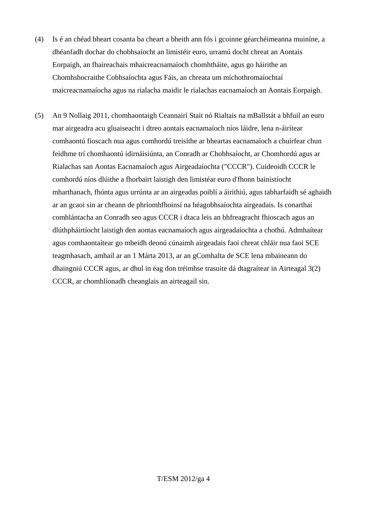- (4) Is é an chéad bheart cosanta ba cheart a bheith ann fós i gcoinne géarchéimeanna muiníne, a dhéanfadh dochar do chobhsaíocht an limistéir euro, urramú docht chreat an Aontais Eorpaigh, an fhaireachais mhaicreacnamaíoch chomhtháite, agus go háirithe an Chomhshocraithe Cobhsaíochta agus Fáis, an chreata um míchothromaíochtaí maicreacnamaíocha agus na rialacha maidir le rialachas eacnamaíoch an Aontais Eorpaigh.
- (5) An 9 Nollaig 2011, chomhaontaigh Ceannairí Stait nó Rialtais na mBallstát a bhfuil an euro mar airgeadra acu gluaiseacht i dtreo aontais eacnamaíoch níos láidre, lena n-áirítear comhaontú fioscach nua agus comhordú treisithe ar bheartas eacnamaíoch a chuirfear chun feidhme trí chomhaontú idirnáisiúnta, an Conradh ar Chobhsaíocht, ar Chomhordú agus ar Rialachas san Aontas Eacnamaíoch agus Airgeadaíochta ("CCCR"). Cuideoidh CCCR le comhordú níos dlúithe a fhorbairt laistigh den limistéar euro d'fhonn bainistíocht mharthanach, fhónta agus urrúnta ar an airgeadas poiblí a áirithiú, agus tabharfaidh sé aghaidh ar an gcaoi sin ar cheann de phríomhfhoinsí na héagobhsaíochta airgeadais. Is conarthaí comhlántacha an Conradh seo agus CCCR i dtaca leis an bhfreagracht fhioscach agus an dlúthpháirtíocht laistigh den aontas eacnamaíoch agus airgeadaíochta a chothú. Admhaítear agus comhaontaítear go mbeidh deonú cúnaimh airgeadais faoi chreat chláir nua faoi SCE teagmhasach, amhail ar an 1 Márta 2013, ar an gComhalta de SCE lena mbaineann do dhaingniú CCCR agus, ar dhul in éag don tréimhse trasuite dá dtagraítear in Airteagal 3(2) CCCR, ar chomhlíonadh cheanglais an airteagail sin.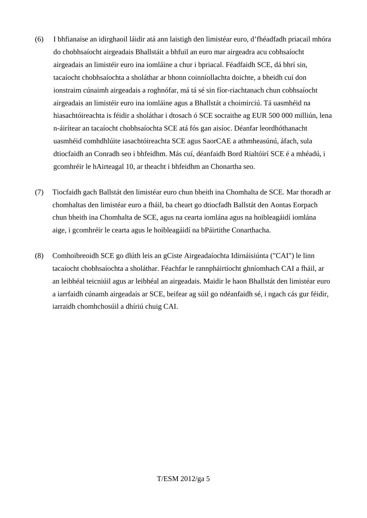- (6) I bhfianaise an idirghaoil láidir atá ann laistigh den limistéar euro, d'fhéadfadh priacail mhóra do chobhsaíocht airgeadais Bhallstáit a bhfuil an euro mar airgeadra acu cobhsaíocht airgeadais an limistéir euro ina iomláine a chur i bpriacal. Féadfaidh SCE, dá bhrí sin, tacaíocht chobhsaíochta a sholáthar ar bhonn coinníollachta doichte, a bheidh cuí don ionstraim cúnaimh airgeadais a roghnófar, má tá sé sin fíor-riachtanach chun cobhsaíocht airgeadais an limistéir euro ina iomláine agus a Bhallstát a choimirciú. Tá uasmhéid na hiasachtóireachta is féidir a sholáthar i dtosach ó SCE socraithe ag EUR 500 000 milliún, lena n-áirítear an tacaíocht chobhsaíochta SCE atá fós gan aisíoc. Déanfar leordhóthanacht uasmhéid comhdhlúite iasachtóireachta SCE agus SaorCAE a athmheasúnú, áfach, sula dtiocfaidh an Conradh seo i bhfeidhm. Más cuí, déanfaidh Bord Rialtóirí SCE é a mhéadú, i gcomhréir le hAirteagal 10, ar theacht i bhfeidhm an Chonartha seo.
- (7) Tiocfaidh gach Ballstát den limistéar euro chun bheith ina Chomhalta de SCE. Mar thoradh ar chomhaltas den limistéar euro a fháil, ba cheart go dtiocfadh Ballstát den Aontas Eorpach chun bheith ina Chomhalta de SCE, agus na cearta iomlána agus na hoibleagáidí iomlána aige, i gcomhréir le cearta agus le hoibleagáidí na bPáirtithe Conarthacha.
- (8) Comhoibreoidh SCE go dlúth leis an gCiste Airgeadaíochta Idirnáisiúnta ("CAI") le linn tacaíocht chobhsaíochta a sholáthar. Féachfar le rannpháirtíocht ghníomhach CAI a fháil, ar an leibhéal teicniúil agus ar leibhéal an airgeadais. Maidir le haon Bhallstát den limistéar euro a iarrfaidh cúnamh airgeadais ar SCE, beifear ag súil go ndéanfaidh sé, i ngach cás gur féidir, iarraidh chomhchosúil a dhíriú chuig CAI.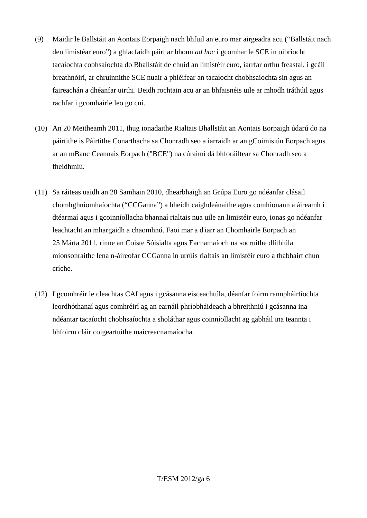- (9) Maidir le Ballstáit an Aontais Eorpaigh nach bhfuil an euro mar airgeadra acu ("Ballstáit nach den limistéar euro") a ghlacfaidh páirt ar bhonn *ad hoc* i gcomhar le SCE in oibríocht tacaíochta cobhsaíochta do Bhallstáit de chuid an limistéir euro, iarrfar orthu freastal, i gcáil breathnóirí, ar chruinnithe SCE nuair a phléifear an tacaíocht chobhsaíochta sin agus an faireachán a dhéanfar uirthi. Beidh rochtain acu ar an bhfaisnéis uile ar mhodh tráthúil agus rachfar i gcomhairle leo go cuí.
- (10) An 20 Meitheamh 2011, thug ionadaithe Rialtais Bhallstáit an Aontais Eorpaigh údarú do na páirtithe is Páirtithe Conarthacha sa Chonradh seo a iarraidh ar an gCoimisiún Eorpach agus ar an mBanc Ceannais Eorpach ("BCE") na cúraimí dá bhforáiltear sa Chonradh seo a fheidhmiú.
- (11) Sa ráiteas uaidh an 28 Samhain 2010, dhearbhaigh an Grúpa Euro go ndéanfar clásail chomhghníomhaíochta ("CCGanna") a bheidh caighdeánaithe agus comhionann a áireamh i dtéarmaí agus i gcoinníollacha bhannaí rialtais nua uile an limistéir euro, ionas go ndéanfar leachtacht an mhargaidh a chaomhnú. Faoi mar a d'iarr an Chomhairle Eorpach an 25 Márta 2011, rinne an Coiste Sóisialta agus Eacnamaíoch na socruithe dlíthiúla mionsonraithe lena n-áireofar CCGanna in urrúis rialtais an limistéir euro a thabhairt chun críche.
- (12) I gcomhréir le cleachtas CAI agus i gcásanna eisceachtúla, déanfar foirm rannpháirtíochta leordhóthanaí agus comhréirí ag an earnáil phríobháideach a bhreithniú i gcásanna ina ndéantar tacaíocht chobhsaíochta a sholáthar agus coinníollacht ag gabháil ina teannta i bhfoirm cláir coigeartuithe maicreacnamaíocha.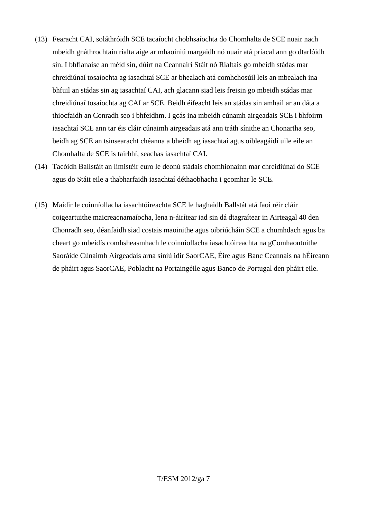- (13) Fearacht CAI, soláthróidh SCE tacaíocht chobhsaíochta do Chomhalta de SCE nuair nach mbeidh gnáthrochtain rialta aige ar mhaoiniú margaidh nó nuair atá priacal ann go dtarlóidh sin. I bhfianaise an méid sin, dúirt na Ceannairí Stáit nó Rialtais go mbeidh stádas mar chreidiúnaí tosaíochta ag iasachtaí SCE ar bhealach atá comhchosúil leis an mbealach ina bhfuil an stádas sin ag iasachtaí CAI, ach glacann siad leis freisin go mbeidh stádas mar chreidiúnaí tosaíochta ag CAI ar SCE. Beidh éifeacht leis an stádas sin amhail ar an dáta a thiocfaidh an Conradh seo i bhfeidhm. I gcás ina mbeidh cúnamh airgeadais SCE i bhfoirm iasachtaí SCE ann tar éis cláir cúnaimh airgeadais atá ann tráth sínithe an Chonartha seo, beidh ag SCE an tsinsearacht chéanna a bheidh ag iasachtaí agus oibleagáidí uile eile an Chomhalta de SCE is tairbhí, seachas iasachtaí CAI.
- (14) Tacóidh Ballstáit an limistéir euro le deonú stádais chomhionainn mar chreidiúnaí do SCE agus do Stáit eile a thabharfaidh iasachtaí déthaobhacha i gcomhar le SCE.
- (15) Maidir le coinníollacha iasachtóireachta SCE le haghaidh Ballstát atá faoi réir cláir coigeartuithe maicreacnamaíocha, lena n-áirítear iad sin dá dtagraítear in Airteagal 40 den Chonradh seo, déanfaidh siad costais maoinithe agus oibriúcháin SCE a chumhdach agus ba cheart go mbeidís comhsheasmhach le coinníollacha iasachtóireachta na gComhaontuithe Saoráide Cúnaimh Airgeadais arna síniú idir SaorCAE, Éire agus Banc Ceannais na hÉireann de pháirt agus SaorCAE, Poblacht na Portaingéile agus Banco de Portugal den pháirt eile.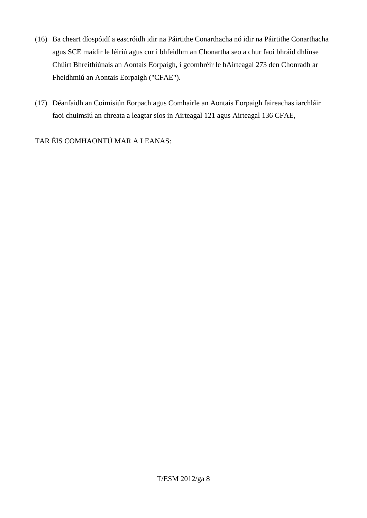- (16) Ba cheart díospóidí a eascróidh idir na Páirtithe Conarthacha nó idir na Páirtithe Conarthacha agus SCE maidir le léiriú agus cur i bhfeidhm an Chonartha seo a chur faoi bhráid dhlínse Chúirt Bhreithiúnais an Aontais Eorpaigh, i gcomhréir le hAirteagal 273 den Chonradh ar Fheidhmiú an Aontais Eorpaigh ("CFAE").
- (17) Déanfaidh an Coimisiún Eorpach agus Comhairle an Aontais Eorpaigh faireachas iarchláir faoi chuimsiú an chreata a leagtar síos in Airteagal 121 agus Airteagal 136 CFAE,

TAR ÉIS COMHAONTÚ MAR A LEANAS: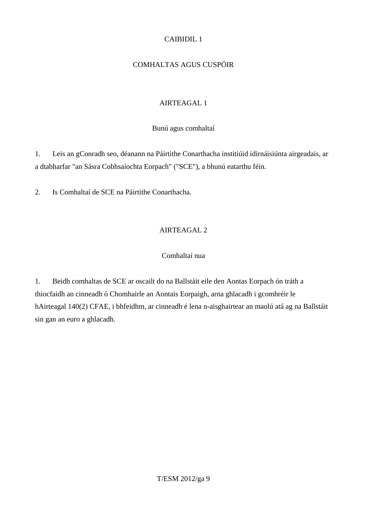## CAIBIDIL 1

# COMHALTAS AGUS CUSPÓIR

# AIRTEAGAL 1

Bunú agus comhaltaí

1. Leis an gConradh seo, déanann na Páirtithe Conarthacha institiúid idirnáisiúnta airgeadais, ar a dtabharfar "an Sásra Cobhsaíochta Eorpach" ("SCE"), a bhunú eatarthu féin.

2. Is Comhaltaí de SCE na Páirtithe Conarthacha.

# AIRTEAGAL 2

# Comhaltaí nua

1. Beidh comhaltas de SCE ar oscailt do na Ballstáit eile den Aontas Eorpach ón tráth a thiocfaidh an cinneadh ó Chomhairle an Aontais Eorpaigh, arna ghlacadh i gcomhréir le hAirteagal 140(2) CFAE, i bhfeidhm, ar cinneadh é lena n-aisghairtear an maolú atá ag na Ballstáit sin gan an euro a ghlacadh.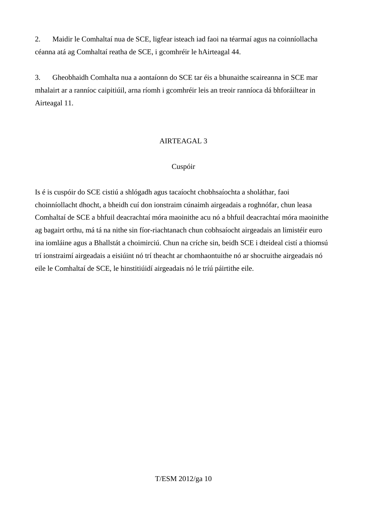2. Maidir le Comhaltaí nua de SCE, ligfear isteach iad faoi na téarmaí agus na coinníollacha céanna atá ag Comhaltaí reatha de SCE, i gcomhréir le hAirteagal 44.

3. Gheobhaidh Comhalta nua a aontaíonn do SCE tar éis a bhunaithe scaireanna in SCE mar mhalairt ar a ranníoc caipitiúil, arna ríomh i gcomhréir leis an treoir ranníoca dá bhforáiltear in Airteagal 11.

#### AIRTEAGAL 3

#### Cuspóir

Is é is cuspóir do SCE cistiú a shlógadh agus tacaíocht chobhsaíochta a sholáthar, faoi choinníollacht dhocht, a bheidh cuí don ionstraim cúnaimh airgeadais a roghnófar, chun leasa Comhaltaí de SCE a bhfuil deacrachtaí móra maoinithe acu nó a bhfuil deacrachtaí móra maoinithe ag bagairt orthu, má tá na nithe sin fíor-riachtanach chun cobhsaíocht airgeadais an limistéir euro ina iomláine agus a Bhallstát a choimirciú. Chun na críche sin, beidh SCE i dteideal cistí a thiomsú trí ionstraimí airgeadais a eisiúint nó trí theacht ar chomhaontuithe nó ar shocruithe airgeadais nó eile le Comhaltaí de SCE, le hinstitiúidí airgeadais nó le tríú páirtithe eile.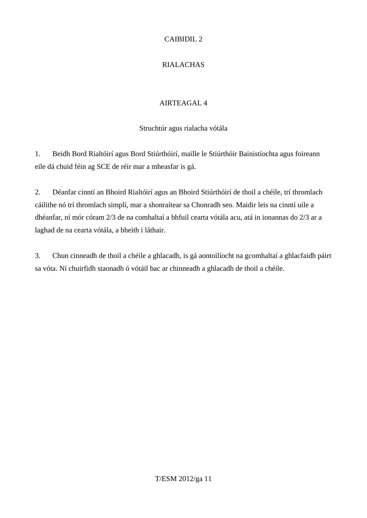## CAIBIDIL 2

# RIALACHAS

## AIRTEAGAL 4

## Struchtúr agus rialacha vótála

1. Beidh Bord Rialtóirí agus Bord Stiúrthóirí, maille le Stiúrthóir Bainistíochta agus foireann eile dá chuid féin ag SCE de réir mar a mheasfar is gá.

2. Déanfar cinntí an Bhoird Rialtóirí agus an Bhoird Stiúrthóirí de thoil a chéile, trí thromlach cáilithe nó trí thromlach simplí, mar a shonraítear sa Chonradh seo. Maidir leis na cinntí uile a dhéanfar, ní mór córam 2/3 de na comhaltaí a bhfuil cearta vótála acu, atá in ionannas do 2/3 ar a laghad de na cearta vótála, a bheith i láthair.

3. Chun cinneadh de thoil a chéile a ghlacadh, is gá aontoilíocht na gcomhaltaí a ghlacfaidh páirt sa vóta. Ní chuirfidh staonadh ó vótáil bac ar chinneadh a ghlacadh de thoil a chéile.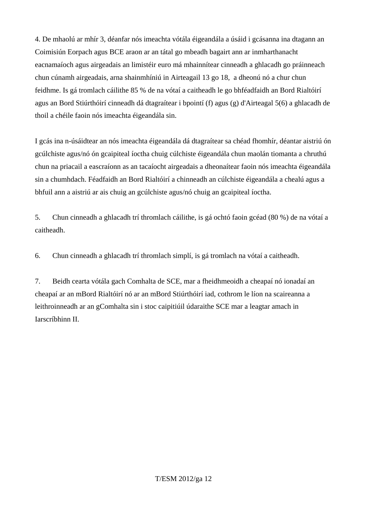4. De mhaolú ar mhír 3, déanfar nós imeachta vótála éigeandála a úsáid i gcásanna ina dtagann an Coimisiún Eorpach agus BCE araon ar an tátal go mbeadh bagairt ann ar inmharthanacht eacnamaíoch agus airgeadais an limistéir euro má mhainnítear cinneadh a ghlacadh go práinneach chun cúnamh airgeadais, arna shainmhíniú in Airteagail 13 go 18, a dheonú nó a chur chun feidhme. Is gá tromlach cáilithe 85 % de na vótaí a caitheadh le go bhféadfaidh an Bord Rialtóirí agus an Bord Stiúrthóirí cinneadh dá dtagraítear i bpointí (f) agus (g) d'Airteagal 5(6) a ghlacadh de thoil a chéile faoin nós imeachta éigeandála sin.

I gcás ina n-úsáidtear an nós imeachta éigeandála dá dtagraítear sa chéad fhomhír, déantar aistriú ón gcúlchiste agus/nó ón gcaipiteal íoctha chuig cúlchiste éigeandála chun maolán tiomanta a chruthú chun na priacail a eascraíonn as an tacaíocht airgeadais a dheonaítear faoin nós imeachta éigeandála sin a chumhdach. Féadfaidh an Bord Rialtóirí a chinneadh an cúlchiste éigeandála a chealú agus a bhfuil ann a aistriú ar ais chuig an gcúlchiste agus/nó chuig an gcaipiteal íoctha.

5. Chun cinneadh a ghlacadh trí thromlach cáilithe, is gá ochtó faoin gcéad (80 %) de na vótaí a caitheadh.

6. Chun cinneadh a ghlacadh trí thromlach simplí, is gá tromlach na vótaí a caitheadh.

7. Beidh cearta vótála gach Comhalta de SCE, mar a fheidhmeoidh a cheapaí nó ionadaí an cheapaí ar an mBord Rialtóirí nó ar an mBord Stiúrthóirí iad, cothrom le líon na scaireanna a leithroinneadh ar an gComhalta sin i stoc caipitiúil údaraithe SCE mar a leagtar amach in Iarscríbhinn II.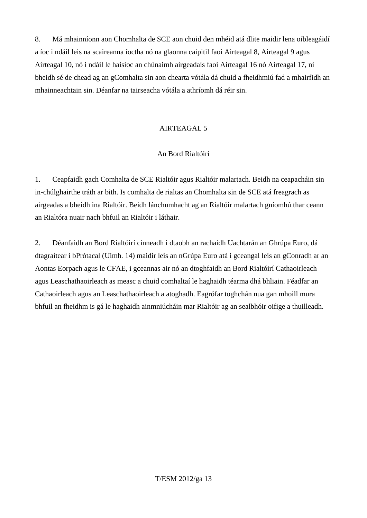8. Má mhainníonn aon Chomhalta de SCE aon chuid den mhéid atá dlite maidir lena oibleagáidí a íoc i ndáil leis na scaireanna íoctha nó na glaonna caipitil faoi Airteagal 8, Airteagal 9 agus Airteagal 10, nó i ndáil le haisíoc an chúnaimh airgeadais faoi Airteagal 16 nó Airteagal 17, ní bheidh sé de chead ag an gComhalta sin aon chearta vótála dá chuid a fheidhmiú fad a mhairfidh an mhainneachtain sin. Déanfar na tairseacha vótála a athríomh dá réir sin.

#### AIRTEAGAL 5

#### An Bord Rialtóirí

1. Ceapfaidh gach Comhalta de SCE Rialtóir agus Rialtóir malartach. Beidh na ceapacháin sin in-chúlghairthe tráth ar bith. Is comhalta de rialtas an Chomhalta sin de SCE atá freagrach as airgeadas a bheidh ina Rialtóir. Beidh lánchumhacht ag an Rialtóir malartach gníomhú thar ceann an Rialtóra nuair nach bhfuil an Rialtóir i láthair.

2. Déanfaidh an Bord Rialtóirí cinneadh i dtaobh an rachaidh Uachtarán an Ghrúpa Euro, dá dtagraítear i bPrótacal (Uimh. 14) maidir leis an nGrúpa Euro atá i gceangal leis an gConradh ar an Aontas Eorpach agus le CFAE, i gceannas air nó an dtoghfaidh an Bord Rialtóirí Cathaoirleach agus Leaschathaoirleach as measc a chuid comhaltaí le haghaidh téarma dhá bhliain. Féadfar an Cathaoirleach agus an Leaschathaoirleach a atoghadh. Eagrófar toghchán nua gan mhoill mura bhfuil an fheidhm is gá le haghaidh ainmniúcháin mar Rialtóir ag an sealbhóir oifige a thuilleadh.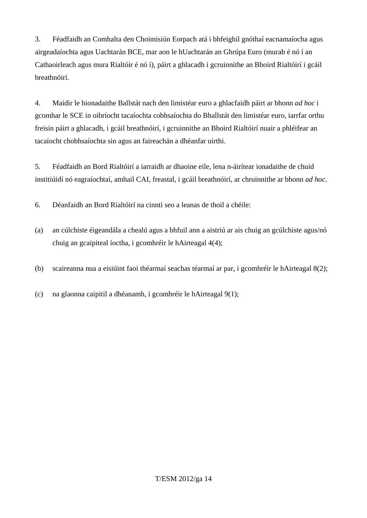3. Féadfaidh an Comhalta den Choimisiún Eorpach atá i bhfeighil gnóthaí eacnamaíocha agus airgeadaíochta agus Uachtarán BCE, mar aon le hUachtarán an Ghrúpa Euro (murab é nó í an Cathaoirleach agus mura Rialtóir é nó í), páirt a ghlacadh i gcruinnithe an Bhoird Rialtóirí i gcáil breathnóirí.

4. Maidir le hionadaithe Ballstát nach den limistéar euro a ghlacfaidh páirt ar bhonn *ad hoc* i gcomhar le SCE in oibríocht tacaíochta cobhsaíochta do Bhallstát den limistéar euro, iarrfar orthu freisin páirt a ghlacadh, i gcáil breathnóirí, i gcruinnithe an Bhoird Rialtóirí nuair a phléifear an tacaíocht chobhsaíochta sin agus an faireachán a dhéanfar uirthi.

5. Féadfaidh an Bord Rialtóirí a iarraidh ar dhaoine eile, lena n-áirítear ionadaithe de chuid institiúidí nó eagraíochtaí, amhail CAI, freastal, i gcáil breathnóirí, ar chruinnithe ar bhonn *ad hoc*.

6. Déanfaidh an Bord Rialtóirí na cinntí seo a leanas de thoil a chéile:

- (a) an cúlchiste éigeandála a chealú agus a bhfuil ann a aistriú ar ais chuig an gcúlchiste agus/nó chuig an gcaipiteal íoctha, i gcomhréir le hAirteagal 4(4);
- (b) scaireanna nua a eisiúint faoi théarmaí seachas téarmaí ar par, i gcomhréir le hAirteagal 8(2);
- (c) na glaonna caipitil a dhéanamh, i gcomhréir le hAirteagal 9(1);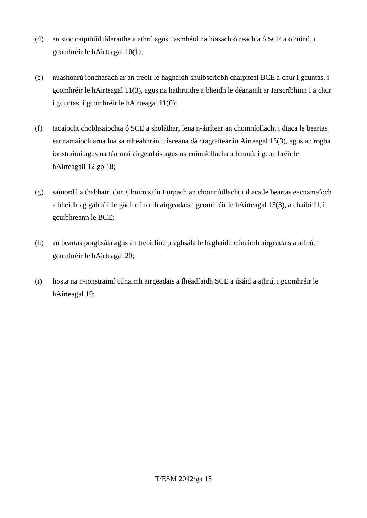- (d) an stoc caipitiúil údaraithe a athrú agus uasmhéid na hiasachtóireachta ó SCE a oiriúnú, i gcomhréir le hAirteagal 10(1);
- (e) nuashonrú ionchasach ar an treoir le haghaidh shuibscríobh chaipiteal BCE a chur i gcuntas, i gcomhréir le hAirteagal 11(3), agus na hathruithe a bheidh le déanamh ar Iarscríbhinn I a chur i gcuntas, i gcomhréir le hAirteagal 11(6);
- (f) tacaíocht chobhsaíochta ó SCE a sholáthar, lena n-áirítear an choinníollacht i dtaca le beartas eacnamaíoch arna lua sa mheabhrán tuisceana dá dtagraítear in Airteagal 13(3), agus an rogha ionstraimí agus na téarmaí airgeadais agus na coinníollacha a bhunú, i gcomhréir le hAirteagail 12 go 18;
- (g) sainordú a thabhairt don Choimisiún Eorpach an choinníollacht i dtaca le beartas eacnamaíoch a bheidh ag gabháil le gach cúnamh airgeadais i gcomhréir le hAirteagal 13(3), a chaibidil, i gcuibhreann le BCE;
- (h) an beartas praghsála agus an treoirlíne praghsála le haghaidh cúnaimh airgeadais a athrú, i gcomhréir le hAirteagal 20;
- (i) liosta na n-ionstraimí cúnaimh airgeadais a fhéadfaidh SCE a úsáid a athrú, i gcomhréir le hAirteagal 19;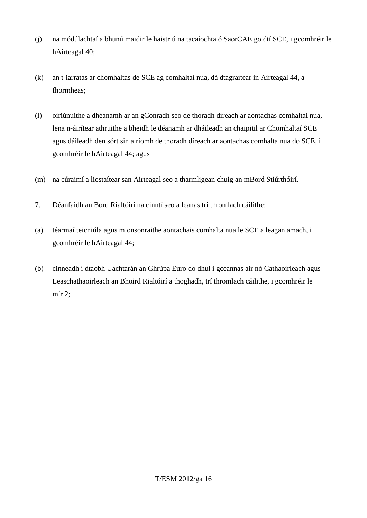- (j) na módúlachtaí a bhunú maidir le haistriú na tacaíochta ó SaorCAE go dtí SCE, i gcomhréir le hAirteagal 40;
- (k) an t-iarratas ar chomhaltas de SCE ag comhaltaí nua, dá dtagraítear in Airteagal 44, a fhormheas;
- (l) oiriúnuithe a dhéanamh ar an gConradh seo de thoradh díreach ar aontachas comhaltaí nua, lena n-áirítear athruithe a bheidh le déanamh ar dháileadh an chaipitil ar Chomhaltaí SCE agus dáileadh den sórt sin a ríomh de thoradh díreach ar aontachas comhalta nua do SCE, i gcomhréir le hAirteagal 44; agus
- (m) na cúraimí a liostaítear san Airteagal seo a tharmligean chuig an mBord Stiúrthóirí.
- 7. Déanfaidh an Bord Rialtóirí na cinntí seo a leanas trí thromlach cáilithe:
- (a) téarmaí teicniúla agus mionsonraithe aontachais comhalta nua le SCE a leagan amach, i gcomhréir le hAirteagal 44;
- (b) cinneadh i dtaobh Uachtarán an Ghrúpa Euro do dhul i gceannas air nó Cathaoirleach agus Leaschathaoirleach an Bhoird Rialtóirí a thoghadh, trí thromlach cáilithe, i gcomhréir le mír 2;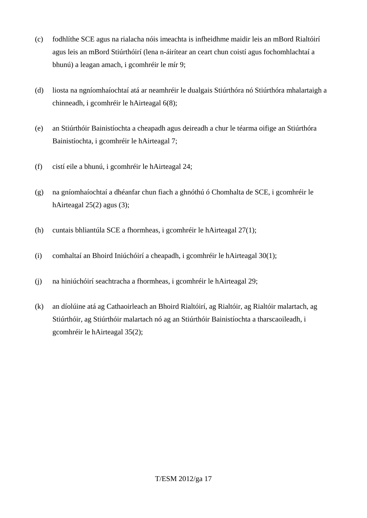- (c) fodhlíthe SCE agus na rialacha nóis imeachta is infheidhme maidir leis an mBord Rialtóirí agus leis an mBord Stiúrthóirí (lena n-áirítear an ceart chun coistí agus fochomhlachtaí a bhunú) a leagan amach, i gcomhréir le mír 9;
- (d) liosta na ngníomhaíochtaí atá ar neamhréir le dualgais Stiúrthóra nó Stiúrthóra mhalartaigh a chinneadh, i gcomhréir le hAirteagal 6(8);
- (e) an Stiúrthóir Bainistíochta a cheapadh agus deireadh a chur le téarma oifige an Stiúrthóra Bainistíochta, i gcomhréir le hAirteagal 7;
- (f) cistí eile a bhunú, i gcomhréir le hAirteagal 24;
- (g) na gníomhaíochtaí a dhéanfar chun fiach a ghnóthú ó Chomhalta de SCE, i gcomhréir le hAirteagal 25(2) agus (3);
- (h) cuntais bhliantúla SCE a fhormheas, i gcomhréir le hAirteagal 27(1);
- (i) comhaltaí an Bhoird Iniúchóirí a cheapadh, i gcomhréir le hAirteagal 30(1);
- (j) na hiniúchóirí seachtracha a fhormheas, i gcomhréir le hAirteagal 29;
- (k) an díolúine atá ag Cathaoirleach an Bhoird Rialtóirí, ag Rialtóir, ag Rialtóir malartach, ag Stiúrthóir, ag Stiúrthóir malartach nó ag an Stiúrthóir Bainistíochta a tharscaoileadh, i gcomhréir le hAirteagal 35(2);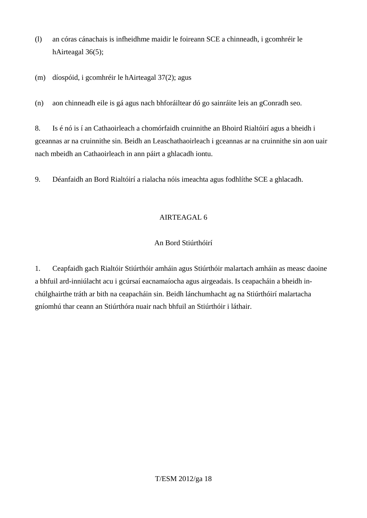- (l) an córas cánachais is infheidhme maidir le foireann SCE a chinneadh, i gcomhréir le hAirteagal 36(5);
- (m) díospóid, i gcomhréir le hAirteagal 37(2); agus

(n) aon chinneadh eile is gá agus nach bhforáiltear dó go sainráite leis an gConradh seo.

8. Is é nó is í an Cathaoirleach a chomórfaidh cruinnithe an Bhoird Rialtóirí agus a bheidh i gceannas ar na cruinnithe sin. Beidh an Leaschathaoirleach i gceannas ar na cruinnithe sin aon uair nach mbeidh an Cathaoirleach in ann páirt a ghlacadh iontu.

9. Déanfaidh an Bord Rialtóirí a rialacha nóis imeachta agus fodhlíthe SCE a ghlacadh.

## AIRTEAGAL 6

## An Bord Stiúrthóirí

1. Ceapfaidh gach Rialtóir Stiúrthóir amháin agus Stiúrthóir malartach amháin as measc daoine a bhfuil ard-inniúlacht acu i gcúrsaí eacnamaíocha agus airgeadais. Is ceapacháin a bheidh inchúlghairthe tráth ar bith na ceapacháin sin. Beidh lánchumhacht ag na Stiúrthóirí malartacha gníomhú thar ceann an Stiúrthóra nuair nach bhfuil an Stiúrthóir i láthair.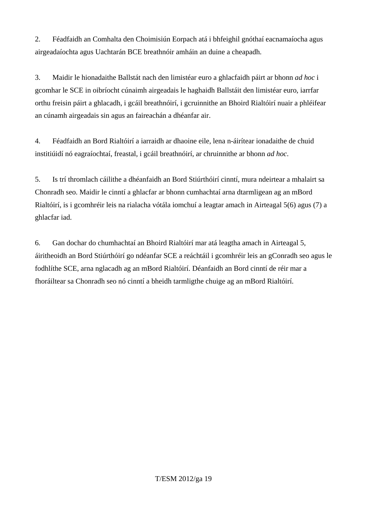2. Féadfaidh an Comhalta den Choimisiún Eorpach atá i bhfeighil gnóthaí eacnamaíocha agus airgeadaíochta agus Uachtarán BCE breathnóir amháin an duine a cheapadh.

3. Maidir le hionadaithe Ballstát nach den limistéar euro a ghlacfaidh páirt ar bhonn *ad hoc* i gcomhar le SCE in oibríocht cúnaimh airgeadais le haghaidh Ballstáit den limistéar euro, iarrfar orthu freisin páirt a ghlacadh, i gcáil breathnóirí, i gcruinnithe an Bhoird Rialtóirí nuair a phléifear an cúnamh airgeadais sin agus an faireachán a dhéanfar air.

4. Féadfaidh an Bord Rialtóirí a iarraidh ar dhaoine eile, lena n-áirítear ionadaithe de chuid institiúidí nó eagraíochtaí, freastal, i gcáil breathnóirí, ar chruinnithe ar bhonn *ad hoc*.

5. Is trí thromlach cáilithe a dhéanfaidh an Bord Stiúrthóirí cinntí, mura ndeirtear a mhalairt sa Chonradh seo. Maidir le cinntí a ghlacfar ar bhonn cumhachtaí arna dtarmligean ag an mBord Rialtóirí, is i gcomhréir leis na rialacha vótála iomchuí a leagtar amach in Airteagal 5(6) agus (7) a ghlacfar iad.

6. Gan dochar do chumhachtaí an Bhoird Rialtóirí mar atá leagtha amach in Airteagal 5, áiritheoidh an Bord Stiúrthóirí go ndéanfar SCE a reáchtáil i gcomhréir leis an gConradh seo agus le fodhlíthe SCE, arna nglacadh ag an mBord Rialtóirí. Déanfaidh an Bord cinntí de réir mar a fhoráiltear sa Chonradh seo nó cinntí a bheidh tarmligthe chuige ag an mBord Rialtóirí.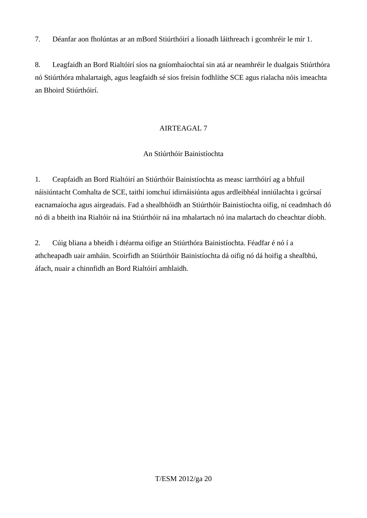7. Déanfar aon fholúntas ar an mBord Stiúrthóirí a líonadh láithreach i gcomhréir le mír 1.

8. Leagfaidh an Bord Rialtóirí síos na gníomhaíochtaí sin atá ar neamhréir le dualgais Stiúrthóra nó Stiúrthóra mhalartaigh, agus leagfaidh sé síos freisin fodhlíthe SCE agus rialacha nóis imeachta an Bhoird Stiúrthóirí.

#### AIRTEAGAL 7

## An Stiúrthóir Bainistíochta

1. Ceapfaidh an Bord Rialtóirí an Stiúrthóir Bainistíochta as measc iarrthóirí ag a bhfuil náisiúntacht Comhalta de SCE, taithí iomchuí idirnáisiúnta agus ardleibhéal inniúlachta i gcúrsaí eacnamaíocha agus airgeadais. Fad a shealbhóidh an Stiúrthóir Bainistíochta oifig, ní ceadmhach dó nó di a bheith ina Rialtóir ná ina Stiúrthóir ná ina mhalartach nó ina malartach do cheachtar díobh.

2. Cúig bliana a bheidh i dtéarma oifige an Stiúrthóra Bainistíochta. Féadfar é nó í a athcheapadh uair amháin. Scoirfidh an Stiúrthóir Bainistíochta dá oifig nó dá hoifig a shealbhú, áfach, nuair a chinnfidh an Bord Rialtóirí amhlaidh.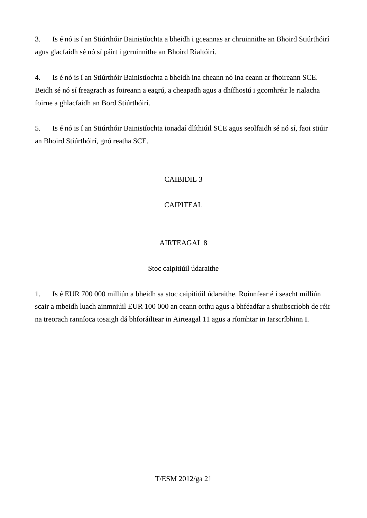3. Is é nó is í an Stiúrthóir Bainistíochta a bheidh i gceannas ar chruinnithe an Bhoird Stiúrthóirí agus glacfaidh sé nó sí páirt i gcruinnithe an Bhoird Rialtóirí.

4. Is é nó is í an Stiúrthóir Bainistíochta a bheidh ina cheann nó ina ceann ar fhoireann SCE. Beidh sé nó sí freagrach as foireann a eagrú, a cheapadh agus a dhífhostú i gcomhréir le rialacha foirne a ghlacfaidh an Bord Stiúrthóirí.

5. Is é nó is í an Stiúrthóir Bainistíochta ionadaí dlíthiúil SCE agus seolfaidh sé nó sí, faoi stiúir an Bhoird Stiúrthóirí, gnó reatha SCE.

# CAIBIDIL 3

# CAIPITEAL

# AIRTEAGAL 8

## Stoc caipitiúil údaraithe

1. Is é EUR 700 000 milliún a bheidh sa stoc caipitiúil údaraithe. Roinnfear é i seacht milliún scair a mbeidh luach ainmniúil EUR 100 000 an ceann orthu agus a bhféadfar a shuibscríobh de réir na treorach ranníoca tosaigh dá bhforáiltear in Airteagal 11 agus a ríomhtar in Iarscríbhinn I.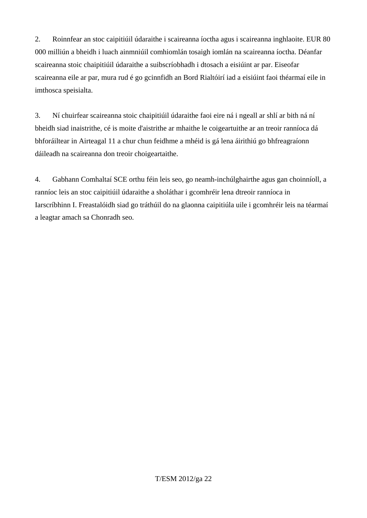2. Roinnfear an stoc caipitiúil údaraithe i scaireanna íoctha agus i scaireanna inghlaoite. EUR 80 000 milliún a bheidh i luach ainmniúil comhiomlán tosaigh iomlán na scaireanna íoctha. Déanfar scaireanna stoic chaipitiúil údaraithe a suibscríobhadh i dtosach a eisiúint ar par. Eiseofar scaireanna eile ar par, mura rud é go gcinnfidh an Bord Rialtóirí iad a eisiúint faoi théarmaí eile in imthosca speisialta.

3. Ní chuirfear scaireanna stoic chaipitiúil údaraithe faoi eire ná i ngeall ar shlí ar bith ná ní bheidh siad inaistrithe, cé is moite d'aistrithe ar mhaithe le coigeartuithe ar an treoir ranníoca dá bhforáiltear in Airteagal 11 a chur chun feidhme a mhéid is gá lena áirithiú go bhfreagraíonn dáileadh na scaireanna don treoir choigeartaithe.

4. Gabhann Comhaltaí SCE orthu féin leis seo, go neamh-inchúlghairthe agus gan choinníoll, a ranníoc leis an stoc caipitiúil údaraithe a sholáthar i gcomhréir lena dtreoir ranníoca in Iarscríbhinn I. Freastalóidh siad go tráthúil do na glaonna caipitiúla uile i gcomhréir leis na téarmaí a leagtar amach sa Chonradh seo.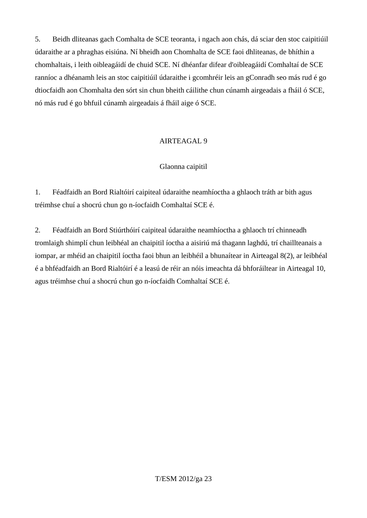5. Beidh dliteanas gach Comhalta de SCE teoranta, i ngach aon chás, dá sciar den stoc caipitiúil údaraithe ar a phraghas eisiúna. Ní bheidh aon Chomhalta de SCE faoi dhliteanas, de bhíthin a chomhaltais, i leith oibleagáidí de chuid SCE. Ní dhéanfar difear d'oibleagáidí Comhaltaí de SCE ranníoc a dhéanamh leis an stoc caipitiúil údaraithe i gcomhréir leis an gConradh seo más rud é go dtiocfaidh aon Chomhalta den sórt sin chun bheith cáilithe chun cúnamh airgeadais a fháil ó SCE, nó más rud é go bhfuil cúnamh airgeadais á fháil aige ó SCE.

## AIRTEAGAL 9

#### Glaonna caipitil

1. Féadfaidh an Bord Rialtóirí caipiteal údaraithe neamhíoctha a ghlaoch tráth ar bith agus tréimhse chuí a shocrú chun go n-íocfaidh Comhaltaí SCE é.

2. Féadfaidh an Bord Stiúrthóirí caipiteal údaraithe neamhíoctha a ghlaoch trí chinneadh tromlaigh shimplí chun leibhéal an chaipitil íoctha a aisiriú má thagann laghdú, trí chaillteanais a iompar, ar mhéid an chaipitil íoctha faoi bhun an leibhéil a bhunaítear in Airteagal 8(2), ar leibhéal é a bhféadfaidh an Bord Rialtóirí é a leasú de réir an nóis imeachta dá bhforáiltear in Airteagal 10, agus tréimhse chuí a shocrú chun go n-íocfaidh Comhaltaí SCE é.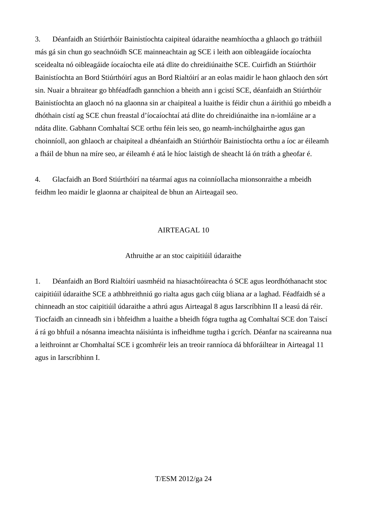3. Déanfaidh an Stiúrthóir Bainistíochta caipiteal údaraithe neamhíoctha a ghlaoch go tráthúil más gá sin chun go seachnóidh SCE mainneachtain ag SCE i leith aon oibleagáide íocaíochta sceidealta nó oibleagáide íocaíochta eile atá dlite do chreidiúnaithe SCE. Cuirfidh an Stiúrthóir Bainistíochta an Bord Stiúrthóirí agus an Bord Rialtóirí ar an eolas maidir le haon ghlaoch den sórt sin. Nuair a bhraitear go bhféadfadh gannchion a bheith ann i gcistí SCE, déanfaidh an Stiúrthóir Bainistíochta an glaoch nó na glaonna sin ar chaipiteal a luaithe is féidir chun a áirithiú go mbeidh a dhóthain cistí ag SCE chun freastal d'íocaíochtaí atá dlite do chreidiúnaithe ina n-iomláine ar a ndáta dlite. Gabhann Comhaltaí SCE orthu féin leis seo, go neamh-inchúlghairthe agus gan choinníoll, aon ghlaoch ar chaipiteal a dhéanfaidh an Stiúrthóir Bainistíochta orthu a íoc ar éileamh a fháil de bhun na míre seo, ar éileamh é atá le híoc laistigh de sheacht lá ón tráth a gheofar é.

4. Glacfaidh an Bord Stiúrthóirí na téarmaí agus na coinníollacha mionsonraithe a mbeidh feidhm leo maidir le glaonna ar chaipiteal de bhun an Airteagail seo.

#### AIRTEAGAL 10

#### Athruithe ar an stoc caipitiúil údaraithe

1. Déanfaidh an Bord Rialtóirí uasmhéid na hiasachtóireachta ó SCE agus leordhóthanacht stoc caipitiúil údaraithe SCE a athbhreithniú go rialta agus gach cúig bliana ar a laghad. Féadfaidh sé a chinneadh an stoc caipitiúil údaraithe a athrú agus Airteagal 8 agus Iarscríbhinn II a leasú dá réir. Tiocfaidh an cinneadh sin i bhfeidhm a luaithe a bheidh fógra tugtha ag Comhaltaí SCE don Taiscí á rá go bhfuil a nósanna imeachta náisiúnta is infheidhme tugtha i gcrích. Déanfar na scaireanna nua a leithroinnt ar Chomhaltaí SCE i gcomhréir leis an treoir ranníoca dá bhforáiltear in Airteagal 11 agus in Iarscríbhinn I.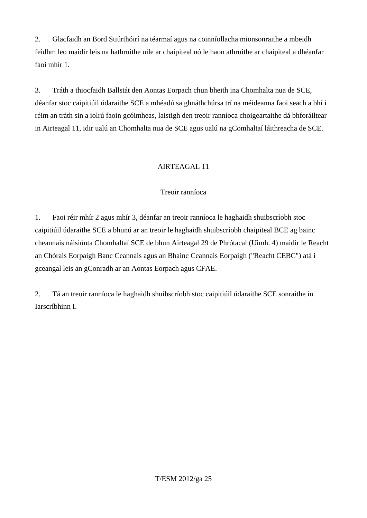2. Glacfaidh an Bord Stiúrthóirí na téarmaí agus na coinníollacha mionsonraithe a mbeidh feidhm leo maidir leis na hathruithe uile ar chaipiteal nó le haon athruithe ar chaipiteal a dhéanfar faoi mhír 1.

3. Tráth a thiocfaidh Ballstát den Aontas Eorpach chun bheith ina Chomhalta nua de SCE, déanfar stoc caipitiúil údaraithe SCE a mhéadú sa ghnáthchúrsa trí na méideanna faoi seach a bhí i réim an tráth sin a iolrú faoin gcóimheas, laistigh den treoir ranníoca choigeartaithe dá bhforáiltear in Airteagal 11, idir ualú an Chomhalta nua de SCE agus ualú na gComhaltaí láithreacha de SCE.

#### AIRTEAGAL 11

## Treoir ranníoca

1. Faoi réir mhír 2 agus mhír 3, déanfar an treoir ranníoca le haghaidh shuibscríobh stoc caipitiúil údaraithe SCE a bhunú ar an treoir le haghaidh shuibscríobh chaipiteal BCE ag bainc cheannais náisiúnta Chomhaltaí SCE de bhun Airteagal 29 de Phrótacal (Uimh. 4) maidir le Reacht an Chórais Eorpaigh Banc Ceannais agus an Bhainc Ceannais Eorpaigh ("Reacht CEBC") atá i gceangal leis an gConradh ar an Aontas Eorpach agus CFAE.

2. Tá an treoir ranníoca le haghaidh shuibscríobh stoc caipitiúil údaraithe SCE sonraithe in Iarscríbhinn I.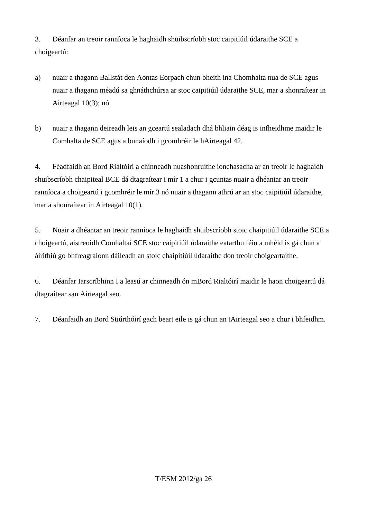3. Déanfar an treoir ranníoca le haghaidh shuibscríobh stoc caipitiúil údaraithe SCE a choigeartú:

- a) nuair a thagann Ballstát den Aontas Eorpach chun bheith ina Chomhalta nua de SCE agus nuair a thagann méadú sa ghnáthchúrsa ar stoc caipitiúil údaraithe SCE, mar a shonraítear in Airteagal 10(3); nó
- b) nuair a thagann deireadh leis an gceartú sealadach dhá bhliain déag is infheidhme maidir le Comhalta de SCE agus a bunaíodh i gcomhréir le hAirteagal 42.

4. Féadfaidh an Bord Rialtóirí a chinneadh nuashonruithe ionchasacha ar an treoir le haghaidh shuibscríobh chaipiteal BCE dá dtagraítear i mír 1 a chur i gcuntas nuair a dhéantar an treoir ranníoca a choigeartú i gcomhréir le mír 3 nó nuair a thagann athrú ar an stoc caipitiúil údaraithe, mar a shonraítear in Airteagal 10(1).

5. Nuair a dhéantar an treoir ranníoca le haghaidh shuibscríobh stoic chaipitiúil údaraithe SCE a choigeartú, aistreoidh Comhaltaí SCE stoc caipitiúil údaraithe eatarthu féin a mhéid is gá chun a áirithiú go bhfreagraíonn dáileadh an stoic chaipitiúil údaraithe don treoir choigeartaithe.

6. Déanfar Iarscríbhinn I a leasú ar chinneadh ón mBord Rialtóirí maidir le haon choigeartú dá dtagraítear san Airteagal seo.

7. Déanfaidh an Bord Stiúrthóirí gach beart eile is gá chun an tAirteagal seo a chur i bhfeidhm.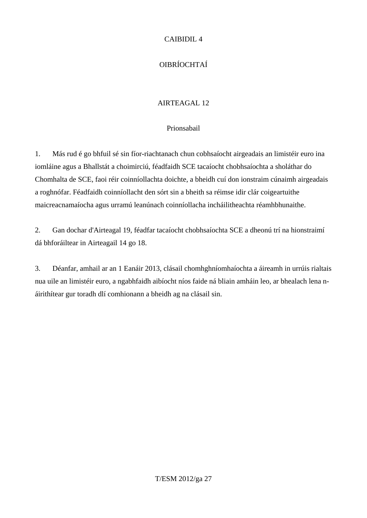## CAIBIDIL 4

# OIBRÍOCHTAÍ

# AIRTEAGAL 12

#### Prionsabail

1. Más rud é go bhfuil sé sin fíor-riachtanach chun cobhsaíocht airgeadais an limistéir euro ina iomláine agus a Bhallstát a choimirciú, féadfaidh SCE tacaíocht chobhsaíochta a sholáthar do Chomhalta de SCE, faoi réir coinníollachta doichte, a bheidh cuí don ionstraim cúnaimh airgeadais a roghnófar. Féadfaidh coinníollacht den sórt sin a bheith sa réimse idir clár coigeartuithe maicreacnamaíocha agus urramú leanúnach coinníollacha incháilitheachta réamhbhunaithe.

2. Gan dochar d'Airteagal 19, féadfar tacaíocht chobhsaíochta SCE a dheonú trí na hionstraimí dá bhforáiltear in Airteagail 14 go 18.

3. Déanfar, amhail ar an 1 Eanáir 2013, clásail chomhghníomhaíochta a áireamh in urrúis rialtais nua uile an limistéir euro, a ngabhfaidh aibíocht níos faide ná bliain amháin leo, ar bhealach lena náirithítear gur toradh dlí comhionann a bheidh ag na clásail sin.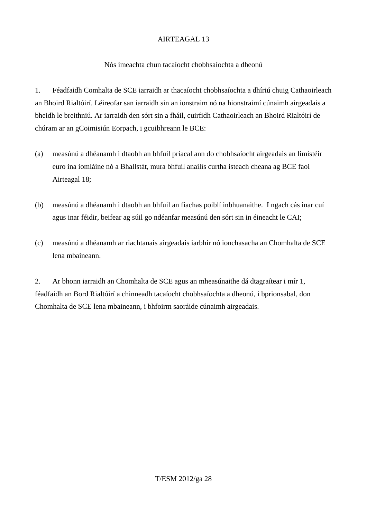#### Nós imeachta chun tacaíocht chobhsaíochta a dheonú

1. Féadfaidh Comhalta de SCE iarraidh ar thacaíocht chobhsaíochta a dhíriú chuig Cathaoirleach an Bhoird Rialtóirí. Léireofar san iarraidh sin an ionstraim nó na hionstraimí cúnaimh airgeadais a bheidh le breithniú. Ar iarraidh den sórt sin a fháil, cuirfidh Cathaoirleach an Bhoird Rialtóirí de chúram ar an gCoimisiún Eorpach, i gcuibhreann le BCE:

- (a) measúnú a dhéanamh i dtaobh an bhfuil priacal ann do chobhsaíocht airgeadais an limistéir euro ina iomláine nó a Bhallstát, mura bhfuil anailís curtha isteach cheana ag BCE faoi Airteagal 18;
- (b) measúnú a dhéanamh i dtaobh an bhfuil an fiachas poiblí inbhuanaithe. I ngach cás inar cuí agus inar féidir, beifear ag súil go ndéanfar measúnú den sórt sin in éineacht le CAI;
- (c) measúnú a dhéanamh ar riachtanais airgeadais iarbhír nó ionchasacha an Chomhalta de SCE lena mbaineann.

2. Ar bhonn iarraidh an Chomhalta de SCE agus an mheasúnaithe dá dtagraítear i mír 1, féadfaidh an Bord Rialtóirí a chinneadh tacaíocht chobhsaíochta a dheonú, i bprionsabal, don Chomhalta de SCE lena mbaineann, i bhfoirm saoráide cúnaimh airgeadais.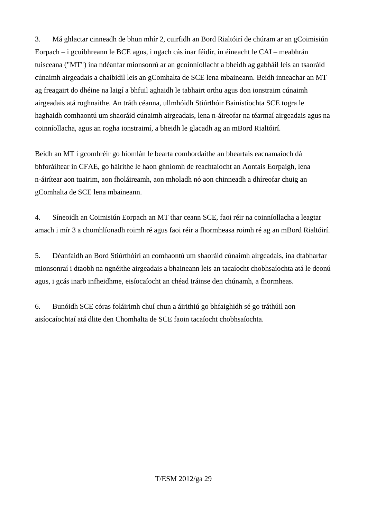3. Má ghlactar cinneadh de bhun mhír 2, cuirfidh an Bord Rialtóirí de chúram ar an gCoimisiún Eorpach – i gcuibhreann le BCE agus, i ngach cás inar féidir, in éineacht le CAI – meabhrán tuisceana ("MT") ina ndéanfar mionsonrú ar an gcoinníollacht a bheidh ag gabháil leis an tsaoráid cúnaimh airgeadais a chaibidil leis an gComhalta de SCE lena mbaineann. Beidh inneachar an MT ag freagairt do dhéine na laigí a bhfuil aghaidh le tabhairt orthu agus don ionstraim cúnaimh airgeadais atá roghnaithe. An tráth céanna, ullmhóidh Stiúrthóir Bainistíochta SCE togra le haghaidh comhaontú um shaoráid cúnaimh airgeadais, lena n-áireofar na téarmaí airgeadais agus na coinníollacha, agus an rogha ionstraimí, a bheidh le glacadh ag an mBord Rialtóirí.

Beidh an MT i gcomhréir go hiomlán le bearta comhordaithe an bheartais eacnamaíoch dá bhforáiltear in CFAE, go háirithe le haon ghníomh de reachtaíocht an Aontais Eorpaigh, lena n-áirítear aon tuairim, aon fholáireamh, aon mholadh nó aon chinneadh a dhíreofar chuig an gComhalta de SCE lena mbaineann.

4. Síneoidh an Coimisiún Eorpach an MT thar ceann SCE, faoi réir na coinníollacha a leagtar amach i mír 3 a chomhlíonadh roimh ré agus faoi réir a fhormheasa roimh ré ag an mBord Rialtóirí.

5. Déanfaidh an Bord Stiúrthóirí an comhaontú um shaoráid cúnaimh airgeadais, ina dtabharfar mionsonraí i dtaobh na ngnéithe airgeadais a bhaineann leis an tacaíocht chobhsaíochta atá le deonú agus, i gcás inarb infheidhme, eisíocaíocht an chéad tráinse den chúnamh, a fhormheas.

6. Bunóidh SCE córas foláirimh chuí chun a áirithiú go bhfaighidh sé go tráthúil aon aisíocaíochtaí atá dlite den Chomhalta de SCE faoin tacaíocht chobhsaíochta.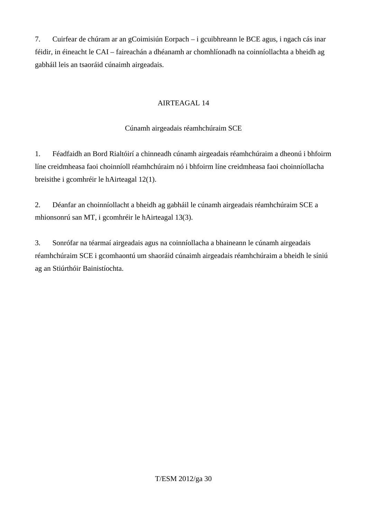7. Cuirfear de chúram ar an gCoimisiún Eorpach – i gcuibhreann le BCE agus, i ngach cás inar féidir, in éineacht le CAI – faireachán a dhéanamh ar chomhlíonadh na coinníollachta a bheidh ag gabháil leis an tsaoráid cúnaimh airgeadais.

## AIRTEAGAL 14

## Cúnamh airgeadais réamhchúraim SCE

1. Féadfaidh an Bord Rialtóirí a chinneadh cúnamh airgeadais réamhchúraim a dheonú i bhfoirm líne creidmheasa faoi choinníoll réamhchúraim nó i bhfoirm líne creidmheasa faoi choinníollacha breisithe i gcomhréir le hAirteagal 12(1).

2. Déanfar an choinníollacht a bheidh ag gabháil le cúnamh airgeadais réamhchúraim SCE a mhionsonrú san MT, i gcomhréir le hAirteagal 13(3).

3. Sonrófar na téarmaí airgeadais agus na coinníollacha a bhaineann le cúnamh airgeadais réamhchúraim SCE i gcomhaontú um shaoráid cúnaimh airgeadais réamhchúraim a bheidh le síniú ag an Stiúrthóir Bainistíochta.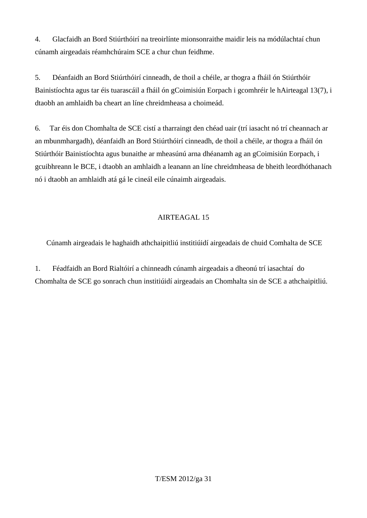4. Glacfaidh an Bord Stiúrthóirí na treoirlínte mionsonraithe maidir leis na módúlachtaí chun cúnamh airgeadais réamhchúraim SCE a chur chun feidhme.

5. Déanfaidh an Bord Stiúrthóirí cinneadh, de thoil a chéile, ar thogra a fháil ón Stiúrthóir Bainistíochta agus tar éis tuarascáil a fháil ón gCoimisiún Eorpach i gcomhréir le hAirteagal 13(7), i dtaobh an amhlaidh ba cheart an líne chreidmheasa a choimeád.

6. Tar éis don Chomhalta de SCE cistí a tharraingt den chéad uair (trí iasacht nó trí cheannach ar an mbunmhargadh), déanfaidh an Bord Stiúrthóirí cinneadh, de thoil a chéile, ar thogra a fháil ón Stiúrthóir Bainistíochta agus bunaithe ar mheasúnú arna dhéanamh ag an gCoimisiún Eorpach, i gcuibhreann le BCE, i dtaobh an amhlaidh a leanann an líne chreidmheasa de bheith leordhóthanach nó i dtaobh an amhlaidh atá gá le cineál eile cúnaimh airgeadais.

## AIRTEAGAL 15

Cúnamh airgeadais le haghaidh athchaipitliú institiúidí airgeadais de chuid Comhalta de SCE

1. Féadfaidh an Bord Rialtóirí a chinneadh cúnamh airgeadais a dheonú trí iasachtaí do Chomhalta de SCE go sonrach chun institiúidí airgeadais an Chomhalta sin de SCE a athchaipitliú.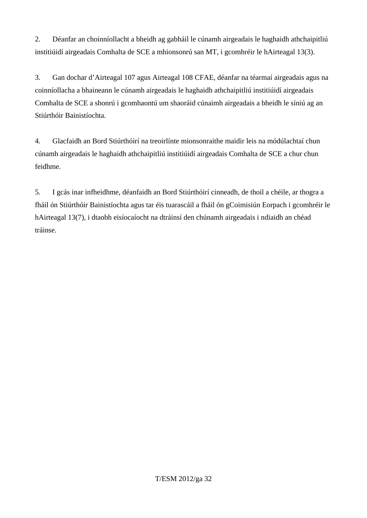2. Déanfar an choinníollacht a bheidh ag gabháil le cúnamh airgeadais le haghaidh athchaipitliú institiúidí airgeadais Comhalta de SCE a mhionsonrú san MT, i gcomhréir le hAirteagal 13(3).

3. Gan dochar d'Airteagal 107 agus Airteagal 108 CFAE, déanfar na téarmaí airgeadais agus na coinníollacha a bhaineann le cúnamh airgeadais le haghaidh athchaipitliú institiúidí airgeadais Comhalta de SCE a shonrú i gcomhaontú um shaoráid cúnaimh airgeadais a bheidh le síniú ag an Stiúrthóir Bainistíochta.

4. Glacfaidh an Bord Stiúrthóirí na treoirlínte mionsonraithe maidir leis na módúlachtaí chun cúnamh airgeadais le haghaidh athchaipitliú institiúidí airgeadais Comhalta de SCE a chur chun feidhme.

5. I gcás inar infheidhme, déanfaidh an Bord Stiúrthóirí cinneadh, de thoil a chéile, ar thogra a fháil ón Stiúrthóir Bainistíochta agus tar éis tuarascáil a fháil ón gCoimisiún Eorpach i gcomhréir le hAirteagal 13(7), i dtaobh eisíocaíocht na dtráinsí den chúnamh airgeadais i ndiaidh an chéad tráinse.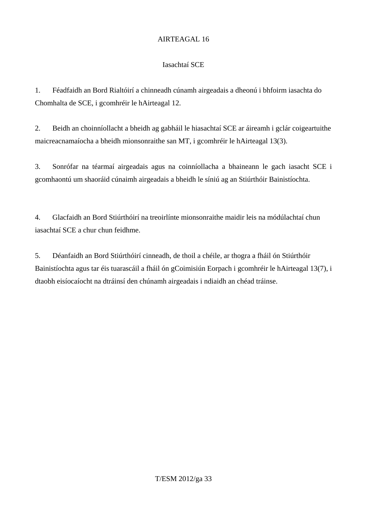## Iasachtaí SCE

1. Féadfaidh an Bord Rialtóirí a chinneadh cúnamh airgeadais a dheonú i bhfoirm iasachta do Chomhalta de SCE, i gcomhréir le hAirteagal 12.

2. Beidh an choinníollacht a bheidh ag gabháil le hiasachtaí SCE ar áireamh i gclár coigeartuithe maicreacnamaíocha a bheidh mionsonraithe san MT, i gcomhréir le hAirteagal 13(3).

3. Sonrófar na téarmaí airgeadais agus na coinníollacha a bhaineann le gach iasacht SCE i gcomhaontú um shaoráid cúnaimh airgeadais a bheidh le síniú ag an Stiúrthóir Bainistíochta.

4. Glacfaidh an Bord Stiúrthóirí na treoirlínte mionsonraithe maidir leis na módúlachtaí chun iasachtaí SCE a chur chun feidhme.

5. Déanfaidh an Bord Stiúrthóirí cinneadh, de thoil a chéile, ar thogra a fháil ón Stiúrthóir Bainistíochta agus tar éis tuarascáil a fháil ón gCoimisiún Eorpach i gcomhréir le hAirteagal 13(7), i dtaobh eisíocaíocht na dtráinsí den chúnamh airgeadais i ndiaidh an chéad tráinse.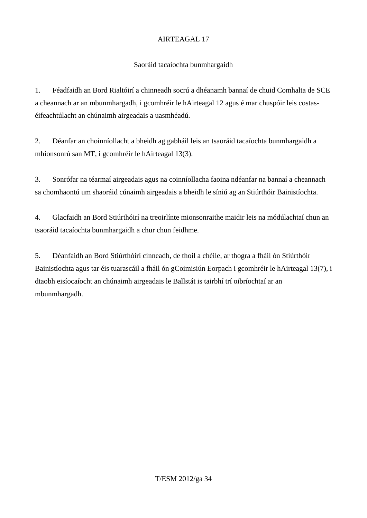## Saoráid tacaíochta bunmhargaidh

1. Féadfaidh an Bord Rialtóirí a chinneadh socrú a dhéanamh bannaí de chuid Comhalta de SCE a cheannach ar an mbunmhargadh, i gcomhréir le hAirteagal 12 agus é mar chuspóir leis costaséifeachtúlacht an chúnaimh airgeadais a uasmhéadú.

2. Déanfar an choinníollacht a bheidh ag gabháil leis an tsaoráid tacaíochta bunmhargaidh a mhionsonrú san MT, i gcomhréir le hAirteagal 13(3).

3. Sonrófar na téarmaí airgeadais agus na coinníollacha faoina ndéanfar na bannaí a cheannach sa chomhaontú um shaoráid cúnaimh airgeadais a bheidh le síniú ag an Stiúrthóir Bainistíochta.

4. Glacfaidh an Bord Stiúrthóirí na treoirlínte mionsonraithe maidir leis na módúlachtaí chun an tsaoráid tacaíochta bunmhargaidh a chur chun feidhme.

5. Déanfaidh an Bord Stiúrthóirí cinneadh, de thoil a chéile, ar thogra a fháil ón Stiúrthóir Bainistíochta agus tar éis tuarascáil a fháil ón gCoimisiún Eorpach i gcomhréir le hAirteagal 13(7), i dtaobh eisíocaíocht an chúnaimh airgeadais le Ballstát is tairbhí trí oibríochtaí ar an mbunmhargadh.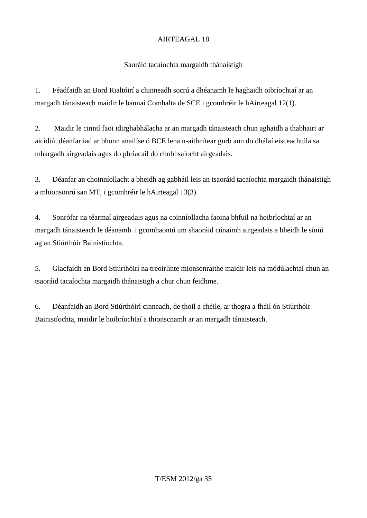## Saoráid tacaíochta margaidh thánaistigh

1. Féadfaidh an Bord Rialtóirí a chinneadh socrú a dhéanamh le haghaidh oibríochtaí ar an margadh tánaisteach maidir le bannaí Comhalta de SCE i gcomhréir le hAirteagal 12(1).

2. Maidir le cinntí faoi idirghabhálacha ar an margadh tánaisteach chun aghaidh a thabhairt ar aicídiú, déanfar iad ar bhonn anailíse ó BCE lena n-aithnítear gurb ann do dhálaí eisceachtúla sa mhargadh airgeadais agus do phriacail do chobhsaíocht airgeadais.

3. Déanfar an choinníollacht a bheidh ag gabháil leis an tsaoráid tacaíochta margaidh thánaistigh a mhionsonrú san MT, i gcomhréir le hAirteagal 13(3).

4. Sonrófar na téarmaí airgeadais agus na coinníollacha faoina bhfuil na hoibríochtaí ar an margadh tánaisteach le déanamh i gcomhaontú um shaoráid cúnaimh airgeadais a bheidh le síniú ag an Stiúrthóir Bainistíochta.

5. Glacfaidh an Bord Stiúrthóirí na treoirlínte mionsonraithe maidir leis na módúlachtaí chun an tsaoráid tacaíochta margaidh thánaistigh a chur chun feidhme.

6. Déanfaidh an Bord Stiúrthóirí cinneadh, de thoil a chéile, ar thogra a fháil ón Stiúrthóir Bainistíochta, maidir le hoibríochtaí a thionscnamh ar an margadh tánaisteach.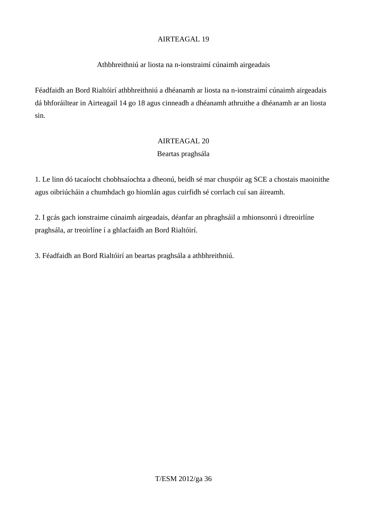#### Athbhreithniú ar liosta na n-ionstraimí cúnaimh airgeadais

Féadfaidh an Bord Rialtóirí athbhreithniú a dhéanamh ar liosta na n-ionstraimí cúnaimh airgeadais dá bhforáiltear in Airteagail 14 go 18 agus cinneadh a dhéanamh athruithe a dhéanamh ar an liosta sin.

#### AIRTEAGAL 20

#### Beartas praghsála

1. Le linn dó tacaíocht chobhsaíochta a dheonú, beidh sé mar chuspóir ag SCE a chostais maoinithe agus oibriúcháin a chumhdach go hiomlán agus cuirfidh sé corrlach cuí san áireamh.

2. I gcás gach ionstraime cúnaimh airgeadais, déanfar an phraghsáil a mhionsonrú i dtreoirlíne praghsála, ar treoirlíne í a ghlacfaidh an Bord Rialtóirí.

3. Féadfaidh an Bord Rialtóirí an beartas praghsála a athbhreithniú.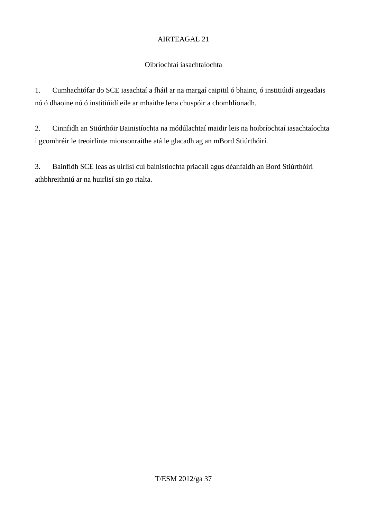## Oibríochtaí iasachtaíochta

1. Cumhachtófar do SCE iasachtaí a fháil ar na margaí caipitil ó bhainc, ó institiúidí airgeadais nó ó dhaoine nó ó institiúidí eile ar mhaithe lena chuspóir a chomhlíonadh.

2. Cinnfidh an Stiúrthóir Bainistíochta na módúlachtaí maidir leis na hoibríochtaí iasachtaíochta i gcomhréir le treoirlínte mionsonraithe atá le glacadh ag an mBord Stiúrthóirí.

3. Bainfidh SCE leas as uirlisí cuí bainistíochta priacail agus déanfaidh an Bord Stiúrthóirí athbhreithniú ar na huirlisí sin go rialta.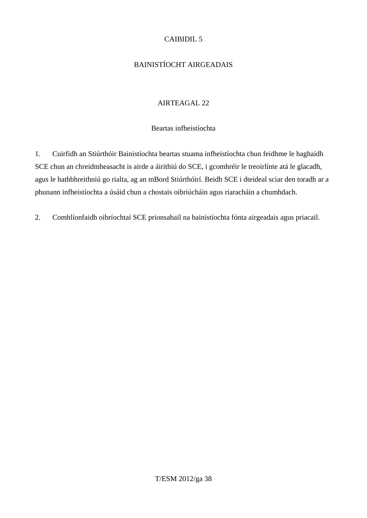## CAIBIDIL 5

## BAINISTÍOCHT AIRGEADAIS

#### AIRTEAGAL 22

#### Beartas infheistíochta

1. Cuirfidh an Stiúrthóir Bainistíochta beartas stuama infheistíochta chun feidhme le haghaidh SCE chun an chreidmheasacht is airde a áirithiú do SCE, i gcomhréir le treoirlínte atá le glacadh, agus le hathbhreithniú go rialta, ag an mBord Stiúrthóirí. Beidh SCE i dteideal sciar den toradh ar a phunann infheistíochta a úsáid chun a chostais oibriúcháin agus riaracháin a chumhdach.

2. Comhlíonfaidh oibríochtaí SCE prionsabail na bainistíochta fónta airgeadais agus priacail.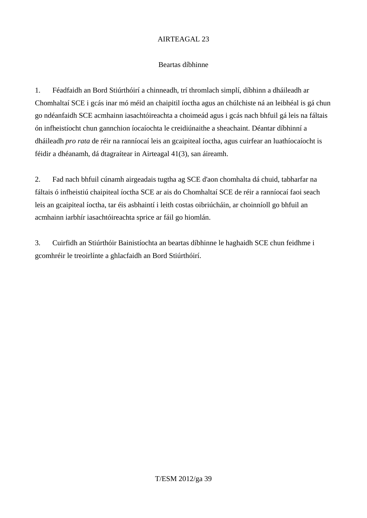#### Beartas díbhinne

1. Féadfaidh an Bord Stiúrthóirí a chinneadh, trí thromlach simplí, díbhinn a dháileadh ar Chomhaltaí SCE i gcás inar mó méid an chaipitil íoctha agus an chúlchiste ná an leibhéal is gá chun go ndéanfaidh SCE acmhainn iasachtóireachta a choimeád agus i gcás nach bhfuil gá leis na fáltais ón infheistíocht chun gannchion íocaíochta le creidiúnaithe a sheachaint. Déantar díbhinní a dháileadh *pro rata* de réir na ranníocaí leis an gcaipiteal íoctha, agus cuirfear an luathíocaíocht is féidir a dhéanamh, dá dtagraítear in Airteagal 41(3), san áireamh.

2. Fad nach bhfuil cúnamh airgeadais tugtha ag SCE d'aon chomhalta dá chuid, tabharfar na fáltais ó infheistiú chaipiteal íoctha SCE ar ais do Chomhaltaí SCE de réir a ranníocaí faoi seach leis an gcaipiteal íoctha, tar éis asbhaintí i leith costas oibriúcháin, ar choinníoll go bhfuil an acmhainn iarbhír iasachtóireachta sprice ar fáil go hiomlán.

3. Cuirfidh an Stiúrthóir Bainistíochta an beartas díbhinne le haghaidh SCE chun feidhme i gcomhréir le treoirlínte a ghlacfaidh an Bord Stiúrthóirí.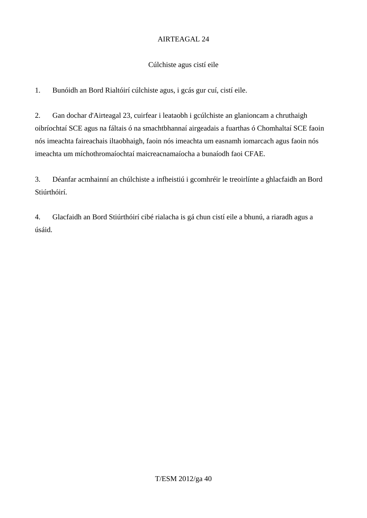#### Cúlchiste agus cistí eile

1. Bunóidh an Bord Rialtóirí cúlchiste agus, i gcás gur cuí, cistí eile.

2. Gan dochar d'Airteagal 23, cuirfear i leataobh i gcúlchiste an glanioncam a chruthaigh oibríochtaí SCE agus na fáltais ó na smachtbhannaí airgeadais a fuarthas ó Chomhaltaí SCE faoin nós imeachta faireachais iltaobhaigh, faoin nós imeachta um easnamh iomarcach agus faoin nós imeachta um míchothromaíochtaí maicreacnamaíocha a bunaíodh faoi CFAE.

3. Déanfar acmhainní an chúlchiste a infheistiú i gcomhréir le treoirlínte a ghlacfaidh an Bord Stiúrthóirí.

4. Glacfaidh an Bord Stiúrthóirí cibé rialacha is gá chun cistí eile a bhunú, a riaradh agus a úsáid.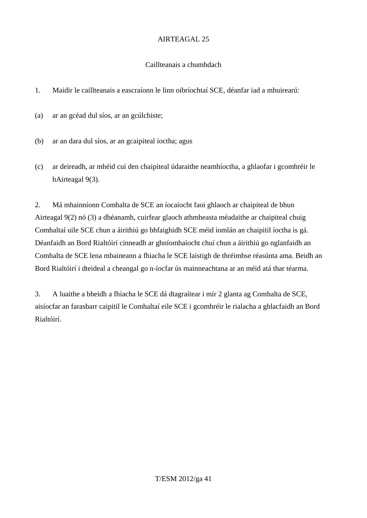## Caillteanais a chumhdach

1. Maidir le caillteanais a eascraíonn le linn oibríochtaí SCE, déanfar iad a mhuirearú:

(a) ar an gcéad dul síos, ar an gcúlchiste;

- (b) ar an dara dul síos, ar an gcaipiteal íoctha; agus
- (c) ar deireadh, ar mhéid cuí den chaipiteal údaraithe neamhíoctha, a ghlaofar i gcomhréir le hAirteagal 9(3).

2. Má mhainníonn Comhalta de SCE an íocaíocht faoi ghlaoch ar chaipiteal de bhun Airteagal 9(2) nó (3) a dhéanamh, cuirfear glaoch athmheasta méadaithe ar chaipiteal chuig Comhaltaí uile SCE chun a áirithiú go bhfaighidh SCE méid iomlán an chaipitil íoctha is gá. Déanfaidh an Bord Rialtóirí cinneadh ar ghníomhaíocht chuí chun a áirithiú go nglanfaidh an Comhalta de SCE lena mbaineann a fhiacha le SCE laistigh de thréimhse réasúnta ama. Beidh an Bord Rialtóirí i dteideal a cheangal go n-íocfar ús mainneachtana ar an méid atá thar téarma.

3. A luaithe a bheidh a fhiacha le SCE dá dtagraítear i mír 2 glanta ag Comhalta de SCE, aisíocfar an farasbarr caipitil le Comhaltaí eile SCE i gcomhréir le rialacha a ghlacfaidh an Bord Rialtóirí.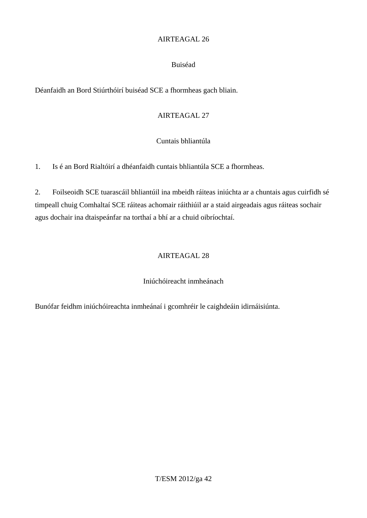#### Buiséad

Déanfaidh an Bord Stiúrthóirí buiséad SCE a fhormheas gach bliain.

## AIRTEAGAL 27

## Cuntais bhliantúla

1. Is é an Bord Rialtóirí a dhéanfaidh cuntais bhliantúla SCE a fhormheas.

2. Foilseoidh SCE tuarascáil bhliantúil ina mbeidh ráiteas iniúchta ar a chuntais agus cuirfidh sé timpeall chuig Comhaltaí SCE ráiteas achomair ráithiúil ar a staid airgeadais agus ráiteas sochair agus dochair ina dtaispeánfar na torthaí a bhí ar a chuid oibríochtaí.

## AIRTEAGAL 28

## Iniúchóireacht inmheánach

Bunófar feidhm iniúchóireachta inmheánaí i gcomhréir le caighdeáin idirnáisiúnta.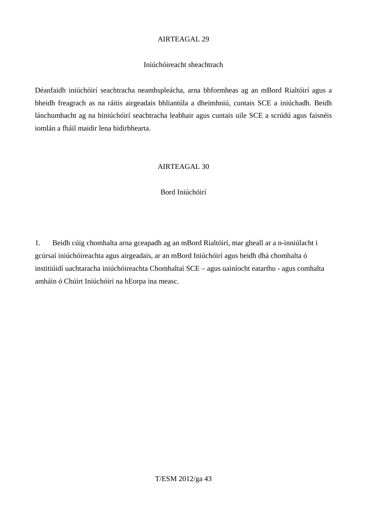#### Iniúchóireacht sheachtrach

Déanfaidh iniúchóirí seachtracha neamhspleácha, arna bhformheas ag an mBord Rialtóirí agus a bheidh freagrach as na ráitis airgeadais bhliantúla a dheimhniú, cuntais SCE a iniúchadh. Beidh lánchumhacht ag na hiniúchóirí seachtracha leabhair agus cuntais uile SCE a scrúdú agus faisnéis iomlán a fháil maidir lena hidirbhearta.

#### AIRTEAGAL 30

#### Bord Iniúchóirí

1. Beidh cúig chomhalta arna gceapadh ag an mBord Rialtóirí, mar gheall ar a n-inniúlacht i gcúrsaí iniúchóireachta agus airgeadais, ar an mBord Iniúchóirí agus beidh dhá chomhalta ó institiúidí uachtaracha iniúchóireachta Chomhaltaí SCE – agus uainíocht eatarthu - agus comhalta amháin ó Chúirt Iniúchóirí na hEorpa ina measc.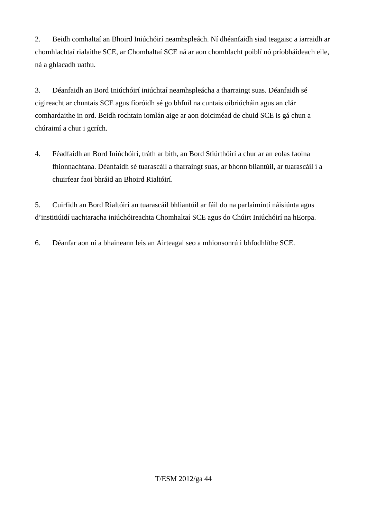2. Beidh comhaltaí an Bhoird Iniúchóirí neamhspleách. Ní dhéanfaidh siad teagaisc a iarraidh ar chomhlachtaí rialaithe SCE, ar Chomhaltaí SCE ná ar aon chomhlacht poiblí nó príobháideach eile, ná a ghlacadh uathu.

3. Déanfaidh an Bord Iniúchóirí iniúchtaí neamhspleácha a tharraingt suas. Déanfaidh sé cigireacht ar chuntais SCE agus fíoróidh sé go bhfuil na cuntais oibriúcháin agus an clár comhardaithe in ord. Beidh rochtain iomlán aige ar aon doiciméad de chuid SCE is gá chun a chúraimí a chur i gcrích.

4. Féadfaidh an Bord Iniúchóirí, tráth ar bith, an Bord Stiúrthóirí a chur ar an eolas faoina fhionnachtana. Déanfaidh sé tuarascáil a tharraingt suas, ar bhonn bliantúil, ar tuarascáil í a chuirfear faoi bhráid an Bhoird Rialtóirí.

5. Cuirfidh an Bord Rialtóirí an tuarascáil bhliantúil ar fáil do na parlaimintí náisiúnta agus d'institiúidí uachtaracha iniúchóireachta Chomhaltaí SCE agus do Chúirt Iniúchóirí na hEorpa.

6. Déanfar aon ní a bhaineann leis an Airteagal seo a mhionsonrú i bhfodhlíthe SCE.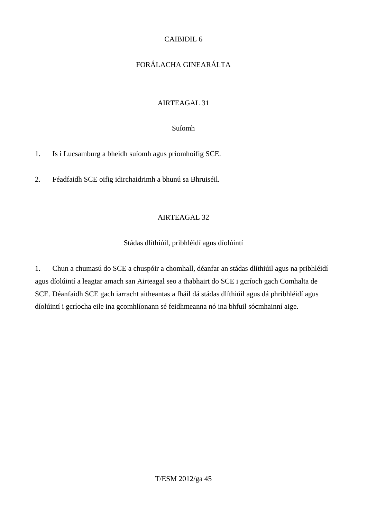## CAIBIDIL 6

# FORÁLACHA GINEARÁLTA

## AIRTEAGAL 31

#### Suíomh

1. Is i Lucsamburg a bheidh suíomh agus príomhoifig SCE.

2. Féadfaidh SCE oifig idirchaidrimh a bhunú sa Bhruiséil.

## AIRTEAGAL 32

## Stádas dlíthiúil, pribhléidí agus díolúintí

1. Chun a chumasú do SCE a chuspóir a chomhall, déanfar an stádas dlíthiúil agus na pribhléidí agus díolúintí a leagtar amach san Airteagal seo a thabhairt do SCE i gcríoch gach Comhalta de SCE. Déanfaidh SCE gach iarracht aitheantas a fháil dá stádas dlíthiúil agus dá phribhléidí agus díolúintí i gcríocha eile ina gcomhlíonann sé feidhmeanna nó ina bhfuil sócmhainní aige.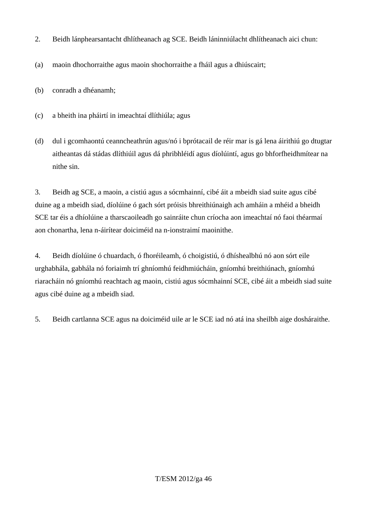- 2. Beidh lánphearsantacht dhlítheanach ag SCE. Beidh láninniúlacht dhlítheanach aici chun:
- (a) maoin dhochorraithe agus maoin shochorraithe a fháil agus a dhiúscairt;
- (b) conradh a dhéanamh;
- (c) a bheith ina pháirtí in imeachtaí dlíthiúla; agus
- (d) dul i gcomhaontú ceanncheathrún agus/nó i bprótacail de réir mar is gá lena áirithiú go dtugtar aitheantas dá stádas dlíthiúil agus dá phribhléidí agus díolúintí, agus go bhforfheidhmítear na nithe sin.

3. Beidh ag SCE, a maoin, a cistiú agus a sócmhainní, cibé áit a mbeidh siad suite agus cibé duine ag a mbeidh siad, díolúine ó gach sórt próisis bhreithiúnaigh ach amháin a mhéid a bheidh SCE tar éis a dhíolúine a tharscaoileadh go sainráite chun críocha aon imeachtaí nó faoi théarmaí aon chonartha, lena n-áirítear doiciméid na n-ionstraimí maoinithe.

4. Beidh díolúine ó chuardach, ó fhoréileamh, ó choigistiú, ó dhíshealbhú nó aon sórt eile urghabhála, gabhála nó foriaimh trí ghníomhú feidhmiúcháin, gníomhú breithiúnach, gníomhú riaracháin nó gníomhú reachtach ag maoin, cistiú agus sócmhainní SCE, cibé áit a mbeidh siad suite agus cibé duine ag a mbeidh siad.

5. Beidh cartlanna SCE agus na doiciméid uile ar le SCE iad nó atá ina sheilbh aige dosháraithe.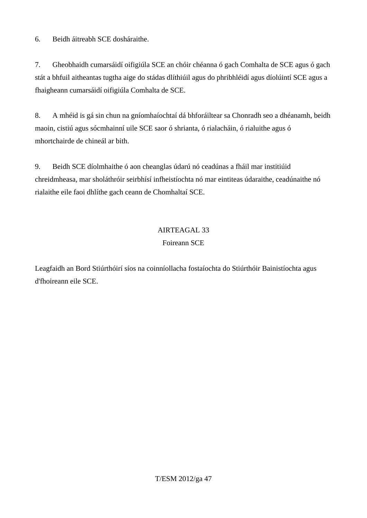6. Beidh áitreabh SCE dosháraithe.

7. Gheobhaidh cumarsáidí oifigiúla SCE an chóir chéanna ó gach Comhalta de SCE agus ó gach stát a bhfuil aitheantas tugtha aige do stádas dlíthiúil agus do phribhléidí agus díolúintí SCE agus a fhaigheann cumarsáidí oifigiúla Comhalta de SCE.

8. A mhéid is gá sin chun na gníomhaíochtaí dá bhforáiltear sa Chonradh seo a dhéanamh, beidh maoin, cistiú agus sócmhainní uile SCE saor ó shrianta, ó rialacháin, ó rialuithe agus ó mhortchairde de chineál ar bith.

9. Beidh SCE díolmhaithe ó aon cheanglas údarú nó ceadúnas a fháil mar institiúid chreidmheasa, mar sholáthróir seirbhísí infheistíochta nó mar eintiteas údaraithe, ceadúnaithe nó rialaithe eile faoi dhlíthe gach ceann de Chomhaltaí SCE.

## AIRTEAGAL 33

#### Foireann SCE

Leagfaidh an Bord Stiúrthóirí síos na coinníollacha fostaíochta do Stiúrthóir Bainistíochta agus d'fhoireann eile SCE.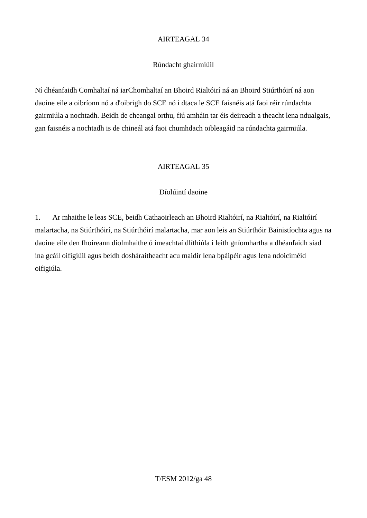#### Rúndacht ghairmiúil

Ní dhéanfaidh Comhaltaí ná iarChomhaltaí an Bhoird Rialtóirí ná an Bhoird Stiúrthóirí ná aon daoine eile a oibríonn nó a d'oibrigh do SCE nó i dtaca le SCE faisnéis atá faoi réir rúndachta gairmiúla a nochtadh. Beidh de cheangal orthu, fiú amháin tar éis deireadh a theacht lena ndualgais, gan faisnéis a nochtadh is de chineál atá faoi chumhdach oibleagáid na rúndachta gairmiúla.

#### AIRTEAGAL 35

#### Díolúintí daoine

1. Ar mhaithe le leas SCE, beidh Cathaoirleach an Bhoird Rialtóirí, na Rialtóirí, na Rialtóirí malartacha, na Stiúrthóirí, na Stiúrthóirí malartacha, mar aon leis an Stiúrthóir Bainistíochta agus na daoine eile den fhoireann díolmhaithe ó imeachtaí dlíthiúla i leith gníomhartha a dhéanfaidh siad ina gcáil oifigiúil agus beidh dosháraitheacht acu maidir lena bpáipéir agus lena ndoiciméid oifigiúla.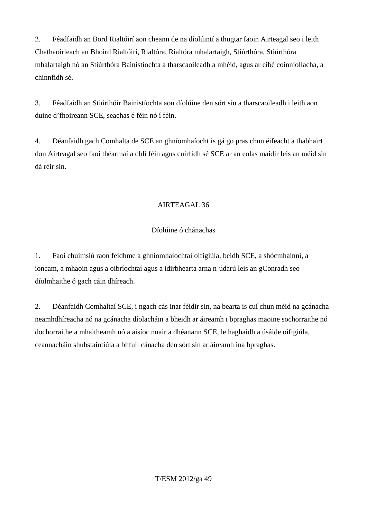2. Féadfaidh an Bord Rialtóirí aon cheann de na díolúintí a thugtar faoin Airteagal seo i leith Chathaoirleach an Bhoird Rialtóirí, Rialtóra, Rialtóra mhalartaigh, Stiúrthóra, Stiúrthóra mhalartaigh nó an Stiúrthóra Bainistíochta a tharscaoileadh a mhéid, agus ar cibé coinníollacha, a chinnfidh sé.

3. Féadfaidh an Stiúrthóir Bainistíochta aon díolúine den sórt sin a tharscaoileadh i leith aon duine d'fhoireann SCE, seachas é féin nó í féin.

4. Déanfaidh gach Comhalta de SCE an ghníomhaíocht is gá go pras chun éifeacht a thabhairt don Airteagal seo faoi théarmaí a dhlí féin agus cuirfidh sé SCE ar an eolas maidir leis an méid sin dá réir sin.

## AIRTEAGAL 36

## Díolúine ó chánachas

1. Faoi chuimsiú raon feidhme a ghníomhaíochtaí oifigiúla, beidh SCE, a shócmhainní, a ioncam, a mhaoin agus a oibríochtaí agus a idirbhearta arna n-údarú leis an gConradh seo díolmhaithe ó gach cáin dhíreach.

2. Déanfaidh Comhaltaí SCE, i ngach cás inar féidir sin, na bearta is cuí chun méid na gcánacha neamhdhíreacha nó na gcánacha díolacháin a bheidh ar áireamh i bpraghas maoine sochorraithe nó dochorraithe a mhaitheamh nó a aisíoc nuair a dhéanann SCE, le haghaidh a úsáide oifigiúla, ceannacháin shubstaintiúla a bhfuil cánacha den sórt sin ar áireamh ina bpraghas.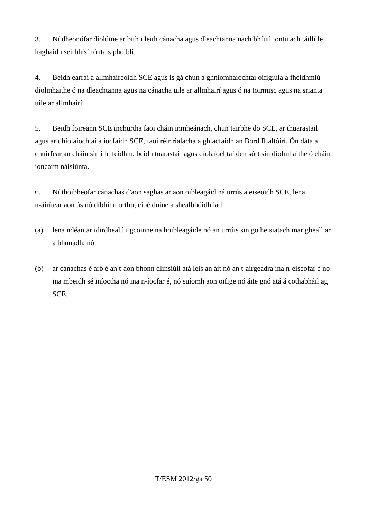3. Ní dheonófar díolúine ar bith i leith cánacha agus dleachtanna nach bhfuil iontu ach táillí le haghaidh seirbhísí fóntais phoiblí.

4. Beidh earraí a allmhaireoidh SCE agus is gá chun a ghníomhaíochtaí oifigiúla a fheidhmiú díolmhaithe ó na dleachtanna agus na cánacha uile ar allmhairí agus ó na toirmisc agus na srianta uile ar allmhairí.

5. Beidh foireann SCE inchurtha faoi cháin inmheánach, chun tairbhe do SCE, ar thuarastail agus ar dhíolaíochtaí a íocfaidh SCE, faoi réir rialacha a ghlacfaidh an Bord Rialtóirí. Ón dáta a chuirfear an cháin sin i bhfeidhm, beidh tuarastail agus díolaíochtaí den sórt sin díolmhaithe ó cháin ioncaim náisiúnta.

6. Ní thoibheofar cánachas d'aon saghas ar aon oibleagáid ná urrús a eiseoidh SCE, lena n-áirítear aon ús nó díbhinn orthu, cibé duine a shealbhóidh iad:

- (a) lena ndéantar idirdhealú i gcoinne na hoibleagáide nó an urrúis sin go heisiatach mar gheall ar a bhunadh; nó
- (b) ar cánachas é arb é an t-aon bhonn dlínsiúil atá leis an áit nó an t-airgeadra ina n-eiseofar é nó ina mbeidh sé iníoctha nó ina n-íocfar é, nó suíomh aon oifige nó áite gnó atá á cothabháil ag SCE.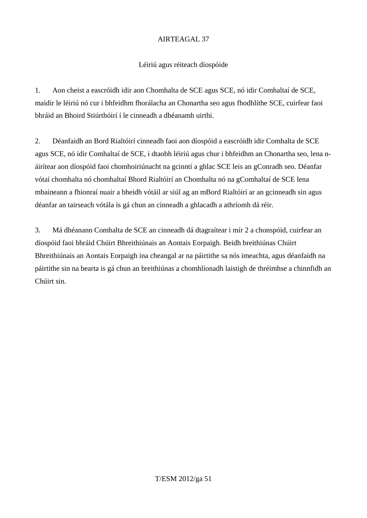## Léiriú agus réiteach díospóide

1. Aon cheist a eascróidh idir aon Chomhalta de SCE agus SCE, nó idir Comhaltaí de SCE, maidir le léiriú nó cur i bhfeidhm fhorálacha an Chonartha seo agus fhodhlíthe SCE, cuirfear faoi bhráid an Bhoird Stiúrthóirí í le cinneadh a dhéanamh uirthi.

2. Déanfaidh an Bord Rialtóirí cinneadh faoi aon díospóid a eascróidh idir Comhalta de SCE agus SCE, nó idir Comhaltaí de SCE, i dtaobh léiriú agus chur i bhfeidhm an Chonartha seo, lena náirítear aon díospóid faoi chomhoiriúnacht na gcinntí a ghlac SCE leis an gConradh seo. Déanfar vótaí chomhalta nó chomhaltaí Bhord Rialtóirí an Chomhalta nó na gComhaltaí de SCE lena mbaineann a fhionraí nuair a bheidh vótáil ar siúl ag an mBord Rialtóirí ar an gcinneadh sin agus déanfar an tairseach vótála is gá chun an cinneadh a ghlacadh a athríomh dá réir.

3. Má dhéanann Comhalta de SCE an cinneadh dá dtagraítear i mír 2 a chonspóid, cuirfear an díospóid faoi bhráid Chúirt Bhreithiúnais an Aontais Eorpaigh. Beidh breithiúnas Chúirt Bhreithiúnais an Aontais Eorpaigh ina cheangal ar na páirtithe sa nós imeachta, agus déanfaidh na páirtithe sin na bearta is gá chun an breithiúnas a chomhlíonadh laistigh de thréimhse a chinnfidh an Chúirt sin.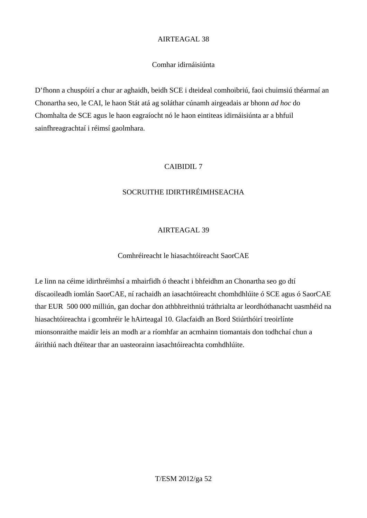#### Comhar idirnáisiúnta

D'fhonn a chuspóirí a chur ar aghaidh, beidh SCE i dteideal comhoibriú, faoi chuimsiú théarmaí an Chonartha seo, le CAI, le haon Stát atá ag soláthar cúnamh airgeadais ar bhonn *ad hoc* do Chomhalta de SCE agus le haon eagraíocht nó le haon eintiteas idirnáisiúnta ar a bhfuil sainfhreagrachtaí i réimsí gaolmhara.

#### CAIBIDIL 7

#### SOCRUITHE IDIRTHRÉIMHSEACHA

## AIRTEAGAL 39

#### Comhréireacht le hiasachtóireacht SaorCAE

Le linn na céime idirthréimhsí a mhairfidh ó theacht i bhfeidhm an Chonartha seo go dtí díscaoileadh iomlán SaorCAE, ní rachaidh an iasachtóireacht chomhdhlúite ó SCE agus ó SaorCAE thar EUR 500 000 milliún, gan dochar don athbhreithniú tráthrialta ar leordhóthanacht uasmhéid na hiasachtóireachta i gcomhréir le hAirteagal 10. Glacfaidh an Bord Stiúrthóirí treoirlínte mionsonraithe maidir leis an modh ar a ríomhfar an acmhainn tiomantais don todhchaí chun a áirithiú nach dtéitear thar an uasteorainn iasachtóireachta comhdhlúite.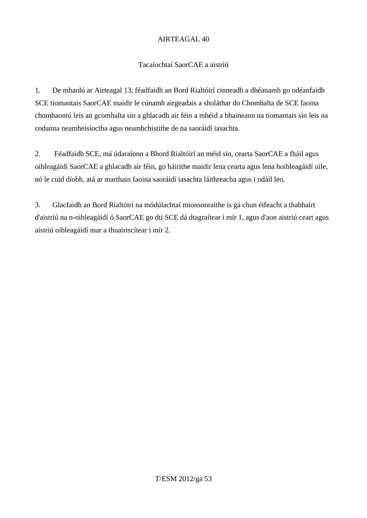#### Tacaíochtaí SaorCAE a aistriú

1. De mhaolú ar Airteagal 13, féadfaidh an Bord Rialtóirí cinneadh a dhéanamh go ndéanfaidh SCE tiomantais SaorCAE maidir le cúnamh airgeadais a sholáthar do Chomhalta de SCE faoina chomhaontú leis an gcomhalta sin a ghlacadh air féin a mhéid a bhaineann na tiomantais sin leis na codanna neamheisíoctha agus neamhchistithe de na saoráidí iasachta.

2. Féadfaidh SCE, má údaraíonn a Bhord Rialtóirí an méid sin, cearta SaorCAE a fháil agus oibleagáidí SaorCAE a ghlacadh air féin, go háirithe maidir lena cearta agus lena hoibleagáidí uile, nó le cuid díobh, atá ar marthain faoina saoráidí iasachta láithreacha agus i ndáil leo.

3. Glacfaidh an Bord Rialtóirí na módúlachtaí mionsonraithe is gá chun éifeacht a thabhairt d'aistriú na n-oibleagáidí ó SaorCAE go dtí SCE dá dtagraítear i mír 1, agus d'aon aistriú ceart agus aistriú oibleagáidí mar a thuairiscítear i mír 2.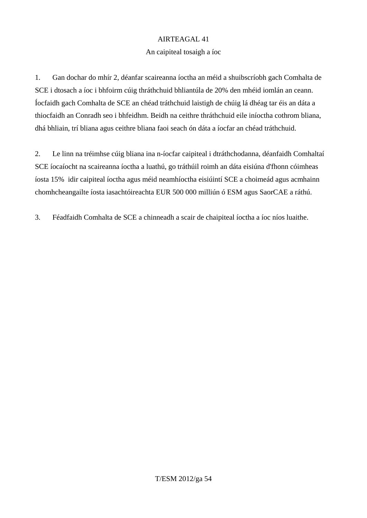#### An caipiteal tosaigh a íoc

1. Gan dochar do mhír 2, déanfar scaireanna íoctha an méid a shuibscríobh gach Comhalta de SCE i dtosach a íoc i bhfoirm cúig thráthchuid bhliantúla de 20% den mhéid iomlán an ceann. Íocfaidh gach Comhalta de SCE an chéad tráthchuid laistigh de chúig lá dhéag tar éis an dáta a thiocfaidh an Conradh seo i bhfeidhm. Beidh na ceithre thráthchuid eile iníoctha cothrom bliana, dhá bhliain, trí bliana agus ceithre bliana faoi seach ón dáta a íocfar an chéad tráthchuid.

2. Le linn na tréimhse cúig bliana ina n-íocfar caipiteal i dtráthchodanna, déanfaidh Comhaltaí SCE íocaíocht na scaireanna íoctha a luathú, go tráthúil roimh an dáta eisiúna d'fhonn cóimheas íosta 15% idir caipiteal íoctha agus méid neamhíoctha eisiúintí SCE a choimeád agus acmhainn chomhcheangailte íosta iasachtóireachta EUR 500 000 milliún ó ESM agus SaorCAE a ráthú.

3. Féadfaidh Comhalta de SCE a chinneadh a scair de chaipiteal íoctha a íoc níos luaithe.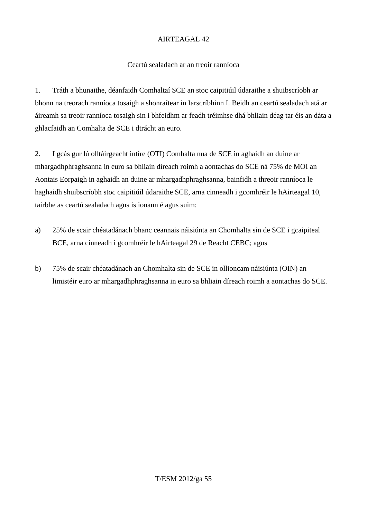#### Ceartú sealadach ar an treoir ranníoca

1. Tráth a bhunaithe, déanfaidh Comhaltaí SCE an stoc caipitiúil údaraithe a shuibscríobh ar bhonn na treorach ranníoca tosaigh a shonraítear in Iarscríbhinn I. Beidh an ceartú sealadach atá ar áireamh sa treoir ranníoca tosaigh sin i bhfeidhm ar feadh tréimhse dhá bhliain déag tar éis an dáta a ghlacfaidh an Comhalta de SCE i dtrácht an euro.

2. I gcás gur lú olltáirgeacht intíre (OTI) Comhalta nua de SCE in aghaidh an duine ar mhargadhphraghsanna in euro sa bhliain díreach roimh a aontachas do SCE ná 75% de MOI an Aontais Eorpaigh in aghaidh an duine ar mhargadhphraghsanna, bainfidh a threoir ranníoca le haghaidh shuibscríobh stoc caipitiúil údaraithe SCE, arna cinneadh i gcomhréir le hAirteagal 10, tairbhe as ceartú sealadach agus is ionann é agus suim:

- a) 25% de scair chéatadánach bhanc ceannais náisiúnta an Chomhalta sin de SCE i gcaipiteal BCE, arna cinneadh i gcomhréir le hAirteagal 29 de Reacht CEBC; agus
- b) 75% de scair chéatadánach an Chomhalta sin de SCE in ollioncam náisiúnta (OIN) an limistéir euro ar mhargadhphraghsanna in euro sa bhliain díreach roimh a aontachas do SCE.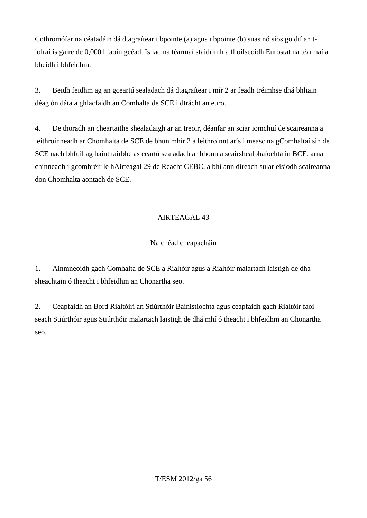Cothromófar na céatadáin dá dtagraítear i bpointe (a) agus i bpointe (b) suas nó síos go dtí an tiolraí is gaire de 0,0001 faoin gcéad. Is iad na téarmaí staidrimh a fhoilseoidh Eurostat na téarmaí a bheidh i bhfeidhm.

3. Beidh feidhm ag an gceartú sealadach dá dtagraítear i mír 2 ar feadh tréimhse dhá bhliain déag ón dáta a ghlacfaidh an Comhalta de SCE i dtrácht an euro.

4. De thoradh an cheartaithe shealadaigh ar an treoir, déanfar an sciar iomchuí de scaireanna a leithroinneadh ar Chomhalta de SCE de bhun mhír 2 a leithroinnt arís i measc na gComhaltaí sin de SCE nach bhfuil ag baint tairbhe as ceartú sealadach ar bhonn a scairshealbhaíochta in BCE, arna chinneadh i gcomhréir le hAirteagal 29 de Reacht CEBC, a bhí ann díreach sular eisíodh scaireanna don Chomhalta aontach de SCE.

## AIRTEAGAL 43

## Na chéad cheapacháin

1. Ainmneoidh gach Comhalta de SCE a Rialtóir agus a Rialtóir malartach laistigh de dhá sheachtain ó theacht i bhfeidhm an Chonartha seo.

2. Ceapfaidh an Bord Rialtóirí an Stiúrthóir Bainistíochta agus ceapfaidh gach Rialtóir faoi seach Stiúrthóir agus Stiúrthóir malartach laistigh de dhá mhí ó theacht i bhfeidhm an Chonartha seo.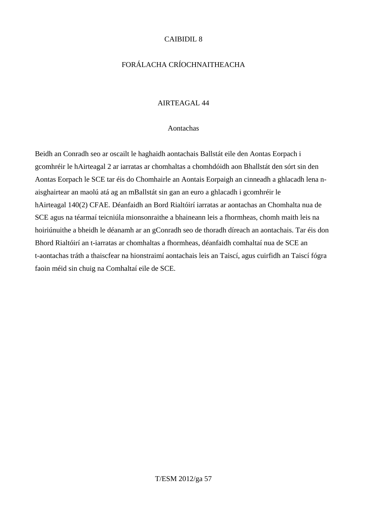#### CAIBIDIL 8

## FORÁLACHA CRÍOCHNAITHEACHA

#### AIRTEAGAL 44

#### Aontachas

Beidh an Conradh seo ar oscailt le haghaidh aontachais Ballstát eile den Aontas Eorpach i gcomhréir le hAirteagal 2 ar iarratas ar chomhaltas a chomhdóidh aon Bhallstát den sórt sin den Aontas Eorpach le SCE tar éis do Chomhairle an Aontais Eorpaigh an cinneadh a ghlacadh lena naisghairtear an maolú atá ag an mBallstát sin gan an euro a ghlacadh i gcomhréir le hAirteagal 140(2) CFAE. Déanfaidh an Bord Rialtóirí iarratas ar aontachas an Chomhalta nua de SCE agus na téarmaí teicniúla mionsonraithe a bhaineann leis a fhormheas, chomh maith leis na hoiriúnuithe a bheidh le déanamh ar an gConradh seo de thoradh díreach an aontachais. Tar éis don Bhord Rialtóirí an t-iarratas ar chomhaltas a fhormheas, déanfaidh comhaltaí nua de SCE an t-aontachas tráth a thaiscfear na hionstraimí aontachais leis an Taiscí, agus cuirfidh an Taiscí fógra faoin méid sin chuig na Comhaltaí eile de SCE.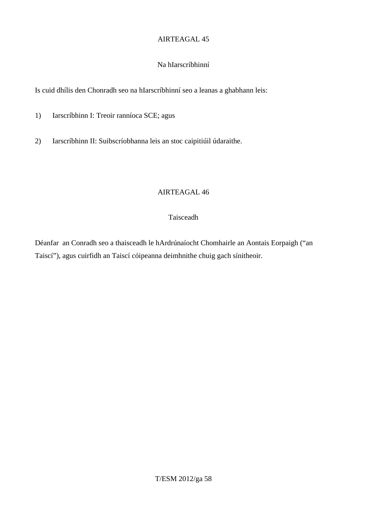#### Na hIarscríbhinní

Is cuid dhílis den Chonradh seo na hIarscríbhinní seo a leanas a ghabhann leis:

- 1) Iarscríbhinn I: Treoir ranníoca SCE; agus
- 2) Iarscríbhinn II: Suibscríobhanna leis an stoc caipitiúil údaraithe.

#### AIRTEAGAL 46

#### Taisceadh

Déanfar an Conradh seo a thaisceadh le hArdrúnaíocht Chomhairle an Aontais Eorpaigh ("an Taiscí"), agus cuirfidh an Taiscí cóipeanna deimhnithe chuig gach sínitheoir.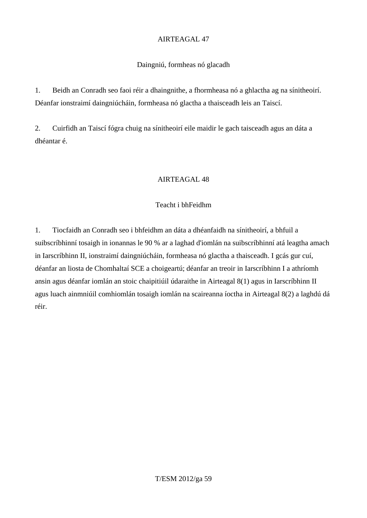## Daingniú, formheas nó glacadh

1. Beidh an Conradh seo faoi réir a dhaingnithe, a fhormheasa nó a ghlactha ag na sínitheoirí. Déanfar ionstraimí daingniúcháin, formheasa nó glactha a thaisceadh leis an Taiscí.

2. Cuirfidh an Taiscí fógra chuig na sínitheoirí eile maidir le gach taisceadh agus an dáta a dhéantar é.

## AIRTEAGAL 48

## Teacht i bhFeidhm

1. Tiocfaidh an Conradh seo i bhfeidhm an dáta a dhéanfaidh na sínitheoirí, a bhfuil a suibscríbhinní tosaigh in ionannas le 90 % ar a laghad d'iomlán na suibscríbhinní atá leagtha amach in Iarscríbhinn II, ionstraimí daingniúcháin, formheasa nó glactha a thaisceadh. I gcás gur cuí, déanfar an liosta de Chomhaltaí SCE a choigeartú; déanfar an treoir in Iarscríbhinn I a athríomh ansin agus déanfar iomlán an stoic chaipitiúil údaraithe in Airteagal 8(1) agus in Iarscríbhinn II agus luach ainmniúil comhiomlán tosaigh iomlán na scaireanna íoctha in Airteagal 8(2) a laghdú dá réir.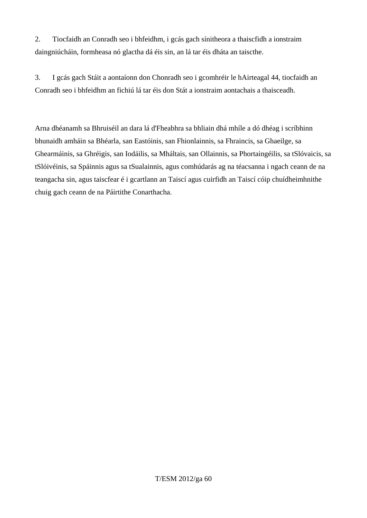2. Tiocfaidh an Conradh seo i bhfeidhm, i gcás gach sínitheora a thaiscfidh a ionstraim daingniúcháin, formheasa nó glactha dá éis sin, an lá tar éis dháta an taiscthe.

3. I gcás gach Stáit a aontaíonn don Chonradh seo i gcomhréir le hAirteagal 44, tiocfaidh an Conradh seo i bhfeidhm an fichiú lá tar éis don Stát a ionstraim aontachais a thaisceadh.

Arna dhéanamh sa Bhruiséil an dara lá d'Fheabhra sa bhliain dhá mhíle a dó dhéag i scríbhinn bhunaidh amháin sa Bhéarla, san Eastóinis, san Fhionlainnis, sa Fhraincis, sa Ghaeilge, sa Ghearmáinis, sa Ghréigis, san Iodáilis, sa Mháltais, san Ollainnis, sa Phortaingéilis, sa tSlóvaicis, sa tSlóivéinis, sa Spáinnis agus sa tSualainnis, agus comhúdarás ag na téacsanna i ngach ceann de na teangacha sin, agus taiscfear é i gcartlann an Taiscí agus cuirfidh an Taiscí cóip chuídheimhnithe chuig gach ceann de na Páirtithe Conarthacha.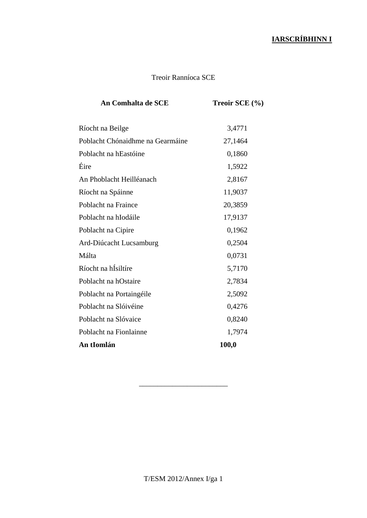# **IARSCRÍBHINN I**

## Treoir Ranníoca SCE

| An Comhalta de SCE               | Treoir SCE $(\% )$ |
|----------------------------------|--------------------|
| Ríocht na Beilge                 | 3,4771             |
| Poblacht Chónaidhme na Gearmáine | 27,1464            |
| Poblacht na hEastóine            | 0,1860             |
| Éire                             | 1,5922             |
| An Phoblacht Heilléanach         | 2,8167             |
| Ríocht na Spáinne                | 11,9037            |
| Poblacht na Fraince              | 20,3859            |
| Poblacht na hIodáile             | 17,9137            |
| Poblacht na Cipire               | 0,1962             |
| Ard-Diúcacht Lucsamburg          | 0,2504             |
| Málta                            | 0,0731             |
| Ríocht na hÍsiltíre              | 5,7170             |
| Poblacht na hOstaire             | 2,7834             |
| Poblacht na Portaingéile         | 2,5092             |
| Poblacht na Slóivéine            | 0,4276             |
| Poblacht na Slóvaice             | 0,8240             |
| Poblacht na Fionlainne           | 1,7974             |
| An tIomlán                       | 100,0              |
|                                  |                    |

\_\_\_\_\_\_\_\_\_\_\_\_\_\_\_\_\_\_\_\_\_\_\_\_